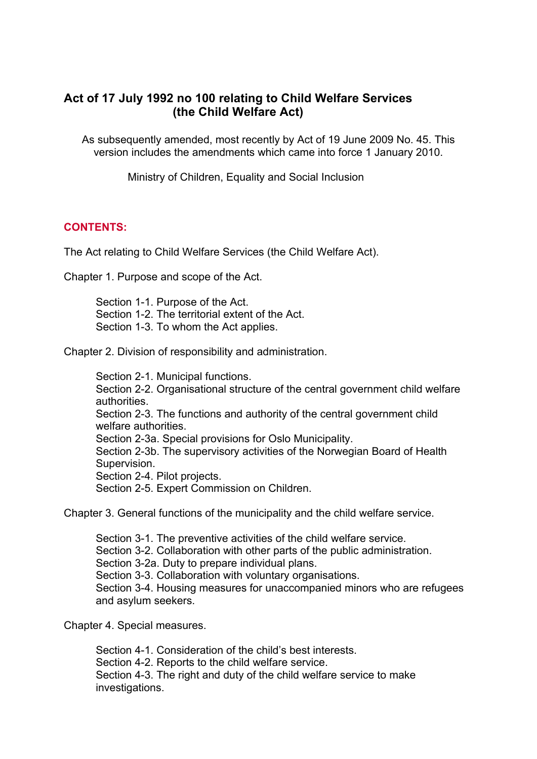# **Act of 17 July 1992 no 100 relating to Child Welfare Services (the Child Welfare Act)**

As subsequently amended, most recently by Act of 19 June 2009 No. 45. This version includes the amendments which came into force 1 January 2010.

Ministry of Children, Equality and Social Inclusion

### **CONTENTS:**

The Act relating to Child Welfare Services (the Child Welfare Act).

Chapter 1. Purpose and scope of the Act.

[Section 1-1. Purpose of the Act.](http://www.lovdata.no/all/tl-19920717-100-0.html)  Section 1-2. The territorial extent of the Act. [Section 1-3. To whom the Act applie](http://www.lovdata.no/all/tl-19920717-100-001.html)s.

Chapt[er 2. Division of responsibility and administra](http://www.lovdata.no/all/tl-19920717-100-001.html#1-2)tion.

[Section 2-1. Municipal functions.](http://www.lovdata.no/all/tl-19920717-100-001.html#1-3)  [Section 2-2. Organisational structure of the centra](http://www.lovdata.no/all/tl-19920717-100-002.html)l government child welfare authorities. [Section 2-3. The functions and a](http://www.lovdata.no/all/tl-19920717-100-002.html#2-1)uthority of the central government child welfare authorities. [Section 2-3a. Special provisions for Oslo Municipality.](http://www.lovdata.no/all/tl-19920717-100-002.html#2-2)  [Section 2-](http://www.lovdata.no/all/tl-19920717-100-002.html#2-2)[3b. The supervisory activities of the Norwegian Board of Healt](http://www.lovdata.no/all/tl-19920717-100-002.html#2-3)h Supervision. [Section 2-4. Pilot p](http://www.lovdata.no/all/tl-19920717-100-002.html#2-3)rojects. [Section 2-5. Expert Commission on Children.](http://www.lovdata.no/all/tl-19920717-100-002.html#2-3a) 

Chapter 3. General functions of the municipality and the child welfare service.

Section 3-1. The preventive activities of the child welfare service. Section 3-2. Collaboration with other parts of the public administration. [Section 3-2a. Duty to prepare individual plans.](http://www.lovdata.no/all/tl-19920717-100-003.html)  Section 3-3. Collaboration with voluntary organisations. [Section 3-4. Housing measures for unaccompanied minors who](http://www.lovdata.no/all/tl-19920717-100-003.html#3-1) [are ref](http://www.lovdata.no/all/tl-19920717-100-003.html#3-2)ugees and asylum seekers.

Chapt[er 4. Special measures.](http://www.lovdata.no/all/tl-19920717-100-003.html#3-3) 

[Section 4-1. Conside](http://www.lovdata.no/all/tl-19920717-100-003.html#3-4)ration of the child's best interests. Section 4-2. Reports to the child welfare service. Section 4-3. The right and duty of the child welfare service to make [investigations.](http://www.lovdata.no/all/tl-19920717-100-004.html#4-1)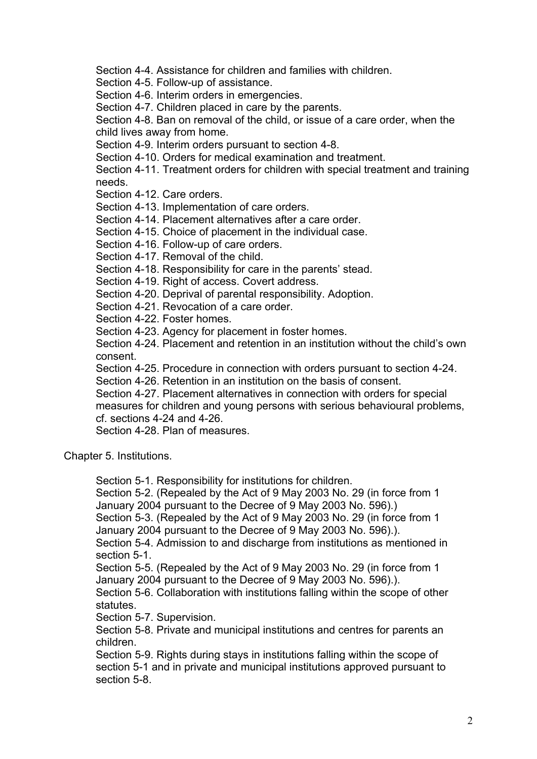Section 4-4. Assistance for children and families with children.

Section 4-5. Follow-up of assistance.

Section 4-6. Interim orders in emergencies.

Section 4-7. Children placed in care by the parents.

[Section 4-8. Ban on removal of the child, or issue of a care ord](http://www.lovdata.no/all/tl-19920717-100-004.html#4-4)er, when the [child lives away from home.](http://www.lovdata.no/all/tl-19920717-100-004.html#4-5) 

[Section 4-9. Interim orders pursuant to sect](http://www.lovdata.no/all/tl-19920717-100-004.html#4-6)ion 4-8.

[Section 4-10. Orders for medical examination and tr](http://www.lovdata.no/all/tl-19920717-100-004.html#4-7)eatment.

[Section 4-11. Treatment orders for children with special treatment and trainin](http://www.lovdata.no/all/tl-19920717-100-004.html#4-8)g needs.

[Section 4-12. Care orders.](http://www.lovdata.no/all/tl-19920717-100-004.html#4-9) 

[Section 4-13. Implementation of care orders.](http://www.lovdata.no/all/tl-19920717-100-004.html#4-10) 

[Section 4-14. Placement alternatives after a care order.](http://www.lovdata.no/all/tl-19920717-100-004.html#4-11) 

[Section](http://www.lovdata.no/all/tl-19920717-100-004.html#4-11) 4-15. Choice of placement in the individual case.

[Section 4-16. Follow-up of](http://www.lovdata.no/all/tl-19920717-100-004.html#4-12) care orders.

[Section 4-17. Removal of the child.](http://www.lovdata.no/all/tl-19920717-100-004.html#4-13) 

[Section 4-18. Responsibility for care in the parents' stea](http://www.lovdata.no/all/tl-19920717-100-004.html#4-14)d.

[Section 4-19. Right of access. Covert address.](http://www.lovdata.no/all/tl-19920717-100-004.html#4-15) 

[Section 4-20. Deprival of parental respo](http://www.lovdata.no/all/tl-19920717-100-004.html#4-16)nsibility. Adoption.

[Section 4-21. Revocation of a care](http://www.lovdata.no/all/tl-19920717-100-004.html#4-17) order.

[Section 4-22. Foster homes.](http://www.lovdata.no/all/tl-19920717-100-004.html#4-18) 

[Section 4-23. Agency for placement in foster ho](http://www.lovdata.no/all/tl-19920717-100-004.html#4-19)mes.

[Section 4-24. Placement and retention in an institution with](http://www.lovdata.no/all/tl-19920717-100-004.html#4-20)out the child's own consent.

[Section 4-25. Procedure in c](http://www.lovdata.no/all/tl-19920717-100-004.html#4-22)onnection with orders pursuant to section 4-24.

[Section 4-26. Retention in an institution on the basis](http://www.lovdata.no/all/tl-19920717-100-004.html#4-23) of consent.

[Section 4-27. Placement alternatives in connection with orders for special](http://www.lovdata.no/all/tl-19920717-100-004.html#4-24)  [measure](http://www.lovdata.no/all/tl-19920717-100-004.html#4-24)[s for children and young persons with serious behavioural problems](http://www.lovdata.no/all/tl-19920717-100-004.html#4-25), cf. sections 4-24 and 4-26.

[Section 4-28. Plan of measures.](http://www.lovdata.no/all/tl-19920717-100-004.html#4-26) 

Chapt[er 5. Institutions.](http://www.lovdata.no/all/tl-19920717-100-004.html#4-27) 

[Section 5-1. Responsibility for in](http://www.lovdata.no/all/tl-19920717-100-004.html#4-28)stitutions for children.

Section 5-2. (Repealed by the Act of 9 May 2003 No. 29 (in force from 1 [January 2004 pu](http://www.lovdata.no/all/tl-19920717-100-005.html)rsuant to the Decree of 9 May 2003 No. 596).)

Section 5-3. (Repealed by the Act of 9 May 2003 No. 29 (in force from 1 [January 2004 pursuant to the Decree of 9 May 2003 N](http://www.lovdata.no/all/tl-19920717-100-005.html#5-1)o. 596).).

[Section 5-4. Admission to and discharge from institutions as mentioned in](http://www.lovdata.no/all/tl-19920717-100-005.html#5-2) section 5-1.

[Section 5-5. \(Repealed by the Act of 9 May 2003 No. 29 \(in force from 1](http://www.lovdata.no/all/tl-19920717-100-005.html#5-3)  [January 2004 pursuant to the Decree of 9 May 2003 No. 596\).\).](http://www.lovdata.no/all/tl-19920717-100-005.html#5-3)

[Section 5-6. Collaboration with institutions falling within the scope of other](http://www.lovdata.no/all/tl-19920717-100-005.html#5-4)  [statutes.](http://www.lovdata.no/all/tl-19920717-100-005.html#5-4) 

[Section 5-7. Supervision.](http://www.lovdata.no/all/tl-19920717-100-005.html#5-5) 

[Section 5-8. Private and municipal institutions and centres for](http://www.lovdata.no/all/tl-19920717-100-005.html#5-5) [parents an](http://www.lovdata.no/all/tl-19920717-100-005.html#5-6)  children.

[Section 5](http://www.lovdata.no/all/tl-19920717-100-005.html#5-6)-9. Rights during stays in institutions falling within the scope of [section 5-1 and in private](http://www.lovdata.no/all/tl-19920717-100-005.html#5-7) [and municipal institu](http://www.lovdata.no/all/tl-19920717-100-005.html#5-8)tions approved pursuant to section 5-8.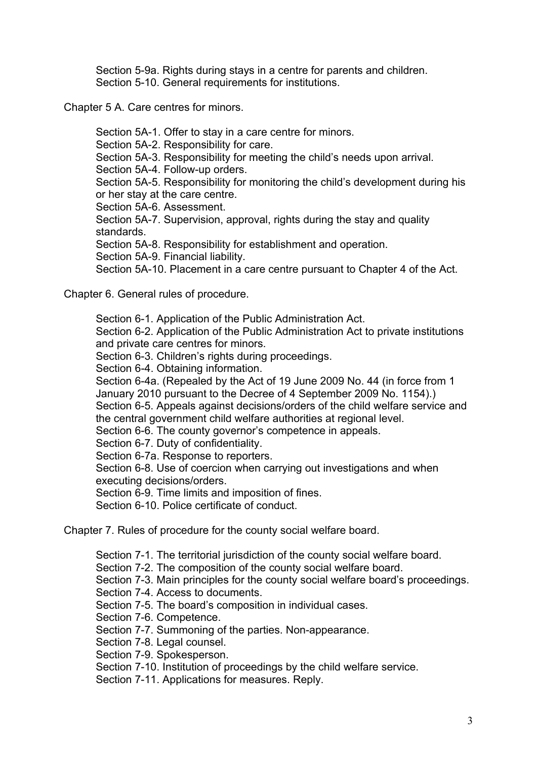Section 5-9a. Rights during stays in a centre for parents and children. Section 5-10. General requirements for institutions.

Chapter 5 A. Care centres for minors.

[Section 5A-1. Offer to stay in a care centre for mino](http://www.lovdata.no/all/tl-19920717-100-005.html#5-10)rs.

Section 5A-2. Responsibility for care.

[Section 5A-3. Responsibility for](http://www.lovdata.no/all/tl-19920717-100-006.html) meeting the child's needs upon arrival.

Section 5A-4. Follow-up orders.

[Section 5A-5. Responsibility for monitoring the child's](http://www.lovdata.no/all/tl-19920717-100-006.html#5A-1) development during his [or her stay at the care centre.](http://www.lovdata.no/all/tl-19920717-100-006.html#5A-2) 

[Section 5A-6. Assessment.](http://www.lovdata.no/all/tl-19920717-100-006.html#5A-3) 

[Section 5A-7. Supervision, app](http://www.lovdata.no/all/tl-19920717-100-006.html#5A-4)[roval, rights during the stay and quality](http://www.lovdata.no/all/tl-19920717-100-006.html#5A-5)  standards.

[Section 5A-8. Responsibility f](http://www.lovdata.no/all/tl-19920717-100-006.html#5A-5)or establishment and operation.

[Section 5A-9. Financial liab](http://www.lovdata.no/all/tl-19920717-100-006.html#5A-6)ility.

[Section 5A-10. Placement in a care centre pursuant to Chapter 4 of the](http://www.lovdata.no/all/tl-19920717-100-006.html#5A-7) Act.

Chapt[er 6. General rules of procedure.](http://www.lovdata.no/all/tl-19920717-100-006.html#5A-8) 

[Section 6-1. Application of the Public Administration Act.](http://www.lovdata.no/all/tl-19920717-100-006.html#5A-10) 

Section 6-2. Application of the Public Administration Act to private institutions [and private care centres for mino](http://www.lovdata.no/all/tl-19920717-100-007.html)rs.

Section 6-3. Children's rights during proceedings.

[Section 6-4. Obtaining information.](http://www.lovdata.no/all/tl-19920717-100-007.html#6-1) 

[Section 6-4a. \(Repealed by the Act of 19 June 2009 No. 44 \(in force from 1](http://www.lovdata.no/all/tl-19920717-100-007.html#6-2)  [January 2010 pursuant to the Decre](http://www.lovdata.no/all/tl-19920717-100-007.html#6-2)e of 4 September 2009 No. 1154).)

[Section 6-5. Appeals against decisions/orders of](http://www.lovdata.no/all/tl-19920717-100-007.html#6-3) the child welfare service and [the central government child welfare](http://www.lovdata.no/all/tl-19920717-100-007.html#6-4) authorities at regional level.

Section 6-6. The county governor's competence in appeals.

Section 6-7. Duty of confidentiality.

[Section 6-7a. Response to reporters.](http://www.lovdata.no/all/tl-19920717-100-007.html#6-5) 

[Section 6-8. Use of coercion when carrying out investigations an](http://www.lovdata.no/all/tl-19920717-100-007.html#6-5)d when executing decisions/orders.

[Section 6-9. Time limits and imposi](http://www.lovdata.no/all/tl-19920717-100-007.html#6-7)tion of fines.

[Section 6-10. Police certificate of conduct.](http://www.lovdata.no/all/tl-19920717-100-007.html#6-8) 

Chapt[er 7. Rules of procedure for](http://www.lovdata.no/all/tl-19920717-100-007.html#6-8) [the county social we](http://www.lovdata.no/all/tl-19920717-100-007.html#6-9)lfare board.

[Section 7-1. The territorial juris](http://www.lovdata.no/all/tl-19920717-100-007.html#6-10)diction of the county social welfare board.

Section 7-2. The composition of the county social welfare board.

[Section 7-3. Main principles for the county social welfare bo](http://www.lovdata.no/all/tl-19920717-100-008.html)ard's proceedings.

Section 7-4. Access to documents.

[Section 7-5. The board's composition in individual cases.](http://www.lovdata.no/all/tl-19920717-100-008.html#7-1) 

Section 7-6. Competence.

[Section 7-7. Summoning of the parties. Non-appearance.](http://www.lovdata.no/all/tl-19920717-100-008.html#7-3) 

[Section 7-8. Legal counsel.](http://www.lovdata.no/all/tl-19920717-100-008.html#7-4) 

[Section 7-9. Spokesperson.](http://www.lovdata.no/all/tl-19920717-100-008.html#7-5) 

[Section 7-10. Institution of](http://www.lovdata.no/all/tl-19920717-100-008.html#7-6) proceedings by the child welfare service.

[Section 7-11. Applications for measures. Reply.](http://www.lovdata.no/all/tl-19920717-100-008.html#7-7)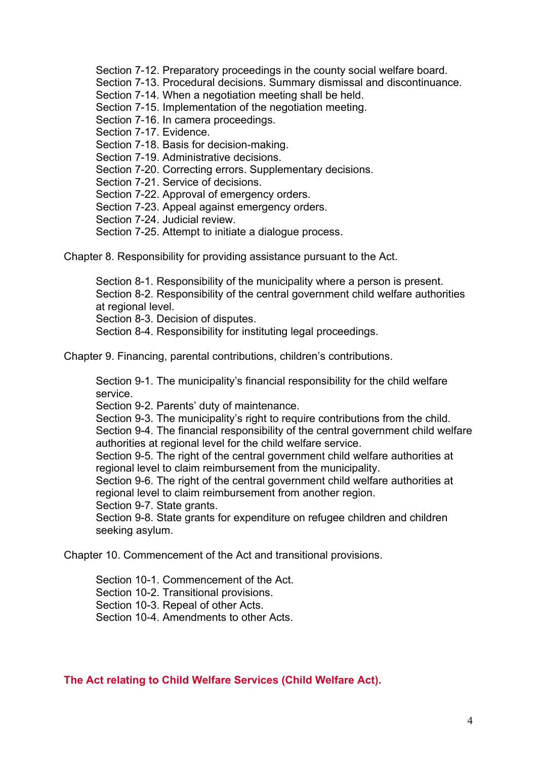Section 7-12. Preparatory proceedings in the county social welfare board.

Section 7-13. Procedural decisions. Summary dismissal and discontinuance.

Section 7-14. When a negotiation meeting shall be held.

Section 7-15. Implementation of the negotiation meeting.

[Section 7-16. In camera proceedings.](http://www.lovdata.no/all/tl-19920717-100-008.html#7-12) 

[Section 7-17. Evidence.](http://www.lovdata.no/all/tl-19920717-100-008.html#7-13) 

[Section 7-18. Basis for decision-making.](http://www.lovdata.no/all/tl-19920717-100-008.html#7-14) 

[Section 7-19. Administrative decisions.](http://www.lovdata.no/all/tl-19920717-100-008.html#7-15) 

[Section 7-20. Correcting errors. Supp](http://www.lovdata.no/all/tl-19920717-100-008.html#7-16)lementary decisions.

[Section 7-21. Service o](http://www.lovdata.no/all/tl-19920717-100-008.html#7-17)f decisions.

[Section 7-22. Approval of emergency or](http://www.lovdata.no/all/tl-19920717-100-008.html#7-18)ders.

[Section 7-23. Appeal against emergen](http://www.lovdata.no/all/tl-19920717-100-008.html#7-19)[cy orders.](http://www.lovdata.no/all/tl-19920717-100-008.html#7-20) 

Section 7-24. Judicial review.

[Section 7-25. Attempt to initiate a](http://www.lovdata.no/all/tl-19920717-100-008.html#7-21) [dialogue p](http://www.lovdata.no/all/tl-19920717-100-008.html#7-22)rocess.

Chapt[er 8. Responsibility for providing assistance pursu](http://www.lovdata.no/all/tl-19920717-100-008.html#7-23)ant to the Act.

[Section 8-1. Responsibility of the municipality where](http://www.lovdata.no/all/tl-19920717-100-008.html#7-25) a person is present. [Section 8-2. Responsibility of the central government child welfa](http://www.lovdata.no/all/tl-19920717-100-009.html)re authorities at regional level.

Section 8-3. Decision of disputes.

[Section 8-4. Responsibility for instituting legal proceedings.](http://www.lovdata.no/all/tl-19920717-100-009.html#8-1) 

Chapt[er 9. Financing, p](http://www.lovdata.no/all/tl-19920717-100-009.html#8-2)[arental contribut](http://www.lovdata.no/all/tl-19920717-100-009.html#8-3)ions, children's contributions.

[Section 9-1. The municipality's financial responsibility for the](http://www.lovdata.no/all/tl-19920717-100-009.html#8-4) child welfare service.

[Section 9-2. Parents' duty of maintenance.](http://www.lovdata.no/all/tl-19920717-100-010.html) 

Section 9-3. The municipality's right to require contributions from the child. [Section 9-4. The financial responsibility of the central government child we](http://www.lovdata.no/all/tl-19920717-100-010.html#9-1)lfare [authoriti](http://www.lovdata.no/all/tl-19920717-100-010.html#9-1)es at regional level for the child welfare service.

[Section 9-5. The right of the central govern](http://www.lovdata.no/all/tl-19920717-100-010.html#9-2)ment child welfare authorities at [regional level to claim reimbursement from the municipality.](http://www.lovdata.no/all/tl-19920717-100-010.html#9-3) 

[Section 9-6. The right of the central government child welfare authorities at](http://www.lovdata.no/all/tl-19920717-100-010.html#9-4)  [regional level to claim reimbursement from another reg](http://www.lovdata.no/all/tl-19920717-100-010.html#9-4)[ion.](http://www.lovdata.no/all/tl-19920717-100-010.html#9-5) 

Section 9-7. State grants.

[Section 9-8. State grants for expenditure on refugee childre](http://www.lovdata.no/all/tl-19920717-100-010.html#9-5)[n and children](http://www.lovdata.no/all/tl-19920717-100-010.html#9-6)  [seeking asylum.](http://www.lovdata.no/all/tl-19920717-100-010.html#9-6) 

Chapt[er 10. Commencement of](http://www.lovdata.no/all/tl-19920717-100-010.html#9-7) [the Act and transitional provisions.](http://www.lovdata.no/all/tl-19920717-100-010.html#9-8) 

[Section 10-1. C](http://www.lovdata.no/all/tl-19920717-100-010.html#9-8)ommencement of the Act.

Section 10-2. Transitional provisions.

[Section 10-3. Repeal of other Acts.](http://www.lovdata.no/all/tl-19920717-100-011.html) 

[Section 10-4. Amendments to other Acts.](http://www.lovdata.no/all/tl-19920717-100-011.html#10-1) 

**The Act relating to Child Welfare Services (Child Welfare Act).**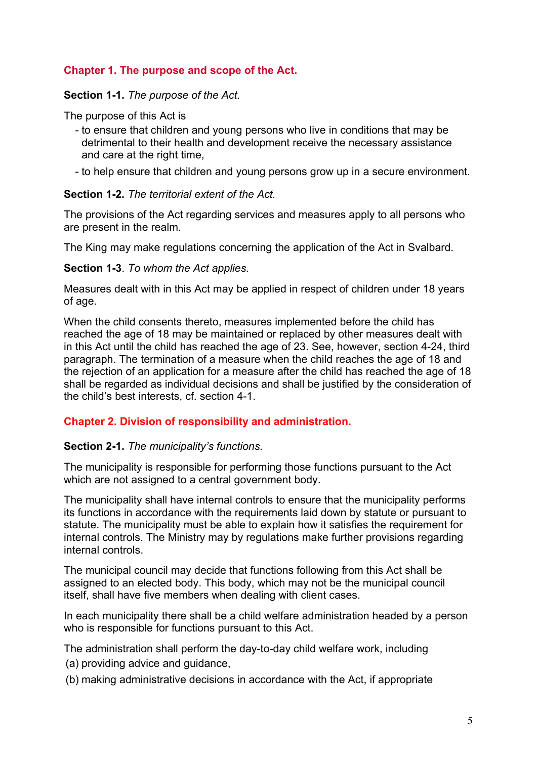# **Chapter 1. The purpose and scope of the Act.**

### **Section 1-1.** *The purpose of the Act.*

The purpose of this Act is

- to ensure that children and young persons who live in conditions that may be detrimental to their health and development receive the necessary assistance and care at the right time,
- to help ensure that children and young persons grow up in a secure environment.

### **Section 1-2.** *The territorial extent of the Act.*

The provisions of the Act regarding services and measures apply to all persons who are present in the realm.

The King may make regulations concerning the application of the Act in Svalbard.

**Section 1-3**. *To whom the Act applies.* 

Measures dealt with in this Act may be applied in respect of children under 18 years of age.

When the child consents thereto, measures implemented before the child has reached the age of 18 may be maintained or replaced by other measures dealt with in this Act until the child has reached the age of 23. See, however, section 4-24, third paragraph. The termination of a measure when the child reaches the age of 18 and the rejection of an application for a measure after the child has reached the age of 18 shall be regarded as individual decisions and shall be justified by the consideration of the child's best interests, cf. section 4-1.

### **Chapter 2. Division of responsibility and administration.**

### **Section 2-1.** *The municipality's functions.*

The municipality is responsible for performing those functions pursuant to the Act which are not assigned to a central government body.

The municipality shall have internal controls to ensure that the municipality performs its functions in accordance with the requirements laid down by statute or pursuant to statute. The municipality must be able to explain how it satisfies the requirement for internal controls. The Ministry may by regulations make further provisions regarding internal controls.

The municipal council may decide that functions following from this Act shall be assigned to an elected body. This body, which may not be the municipal council itself, shall have five members when dealing with client cases.

In each municipality there shall be a child welfare administration headed by a person who is responsible for functions pursuant to this Act.

The administration shall perform the day-to-day child welfare work, including

(a) providing advice and guidance,

(b) making administrative decisions in accordance with the Act, if appropriate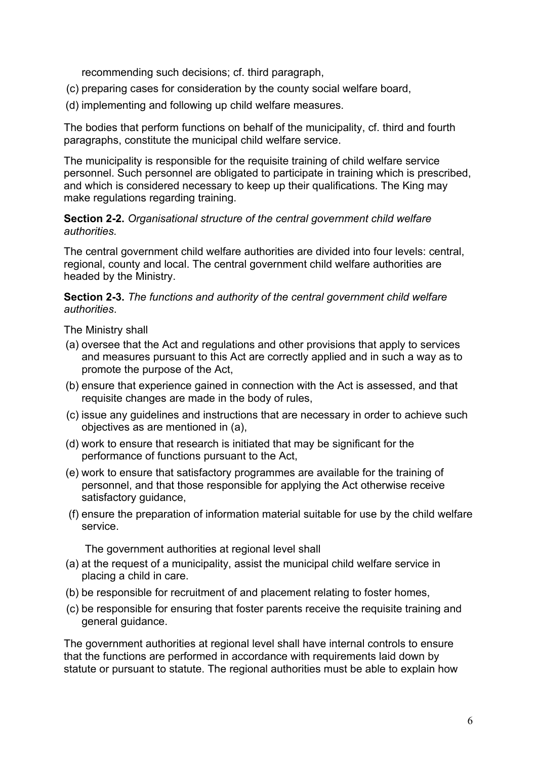recommending such decisions; cf. third paragraph,

- (c) preparing cases for consideration by the county social welfare board,
- (d) implementing and following up child welfare measures.

The bodies that perform functions on behalf of the municipality, cf. third and fourth paragraphs, constitute the municipal child welfare service.

The municipality is responsible for the requisite training of child welfare service personnel. Such personnel are obligated to participate in training which is prescribed, and which is considered necessary to keep up their qualifications. The King may make regulations regarding training.

### **Section 2-2.** *Organisational structure of the central government child welfare authorities.*

The central government child welfare authorities are divided into four levels: central, regional, county and local. The central government child welfare authorities are headed by the Ministry.

### **Section 2-3.** *The functions and authority of the central government child welfare authorities*.

The Ministry shall

- (a) oversee that the Act and regulations and other provisions that apply to services and measures pursuant to this Act are correctly applied and in such a way as to promote the purpose of the Act,
- (b) ensure that experience gained in connection with the Act is assessed, and that requisite changes are made in the body of rules,
- (c) issue any guidelines and instructions that are necessary in order to achieve such objectives as are mentioned in (a),
- (d) work to ensure that research is initiated that may be significant for the performance of functions pursuant to the Act,
- (e) work to ensure that satisfactory programmes are available for the training of personnel, and that those responsible for applying the Act otherwise receive satisfactory guidance,
- (f) ensure the preparation of information material suitable for use by the child welfare service.

The government authorities at regional level shall

- (a) at the request of a municipality, assist the municipal child welfare service in placing a child in care.
- (b) be responsible for recruitment of and placement relating to foster homes,
- (c) be responsible for ensuring that foster parents receive the requisite training and general guidance.

The government authorities at regional level shall have internal controls to ensure that the functions are performed in accordance with requirements laid down by statute or pursuant to statute. The regional authorities must be able to explain how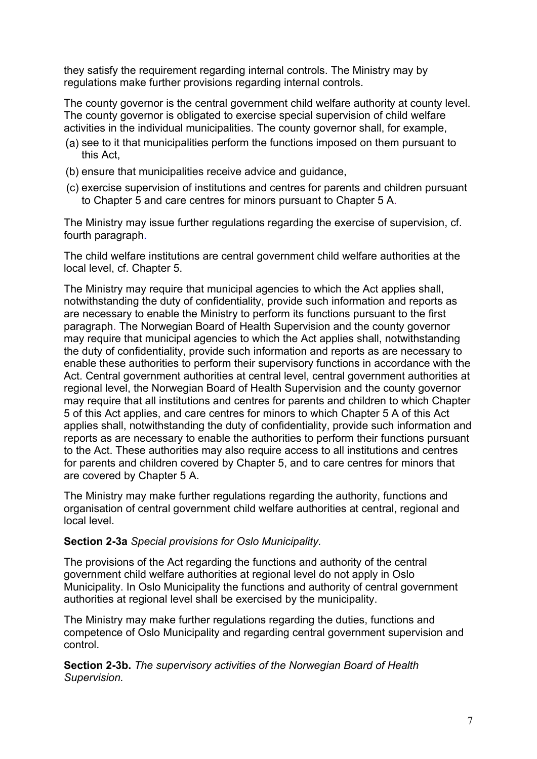they satisfy the requirement regarding internal controls. The Ministry may by regulations make further provisions regarding internal controls.

The county governor is the central government child welfare authority at county level. The county governor is obligated to exercise special supervision of child welfare activities in the individual municipalities. The county governor shall, for example,

- (a) see to it that municipalities perform the functions imposed on them pursuant to this Act,
- (b) ensure that municipalities receive advice and guidance,
- (c) exercise supervision of institutions and centres for parents and children pursuant to Chapter 5 and care centres for minors pursuant to Chapter 5 A.

The Ministry may issue further regulations regarding the exercise of supervision, cf. fourth paragraph.

The child welfare institutions are central government child welfare authorities at the local level, cf. Chapter 5.

The Ministry may require that municipal agencies to which the Act applies shall, notwithstanding the duty of confidentiality, provide such information and reports as are necessary to enable the Ministry to perform its functions pursuant to the first paragraph. The Norwegian Board of Health Supervision and the county governor may require that municipal agencies to which the Act applies shall, notwithstanding the duty of confidentiality, provide such information and reports as are necessary to enable these authorities to perform their supervisory functions in accordance with the Act. Central government authorities at central level, central government authorities at regional level, the Norwegian Board of Health Supervision and the county governor may require that all institutions and centres for parents and children to which Chapter 5 of this Act applies, and care centres for minors to which Chapter 5 A of this Act applies shall, notwithstanding the duty of confidentiality, provide such information and reports as are necessary to enable the authorities to perform their functions pursuant to the Act. These authorities may also require access to all institutions and centres for parents and children covered by Chapter 5, and to care centres for minors that are covered by Chapter 5 A.

The Ministry may make further regulations regarding the authority, functions and organisation of central government child welfare authorities at central, regional and local level.

## **Section 2-3a** *Special provisions for Oslo Municipality.*

The provisions of the Act regarding the functions and authority of the central government child welfare authorities at regional level do not apply in Oslo Municipality. In Oslo Municipality the functions and authority of central government authorities at regional level shall be exercised by the municipality.

The Ministry may make further regulations regarding the duties, functions and competence of Oslo Municipality and regarding central government supervision and control.

**Section 2-3b.** *The supervisory activities of the Norwegian Board of Health Supervision.*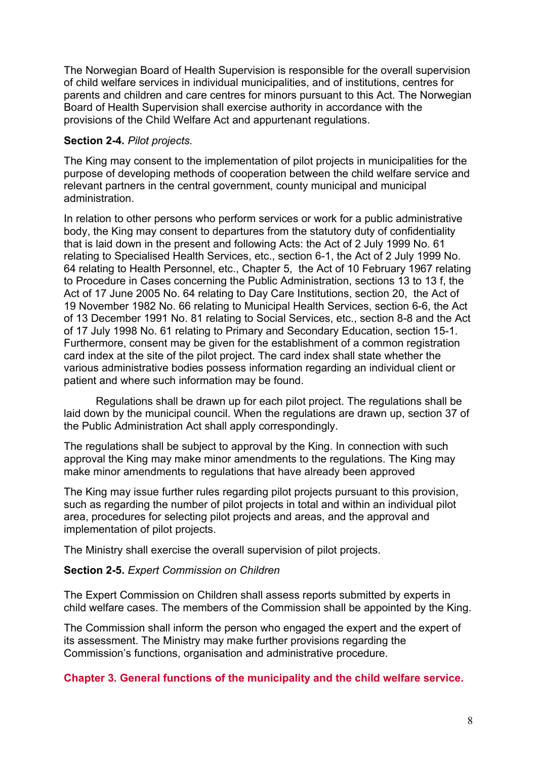The Norwegian Board of Health Supervision is responsible for the overall supervision of child welfare services in individual municipalities, and of institutions, centres for parents and children and care centres for minors pursuant to this Act. The Norwegian Board of Health Supervision shall exercise authority in accordance with the provisions of the Child Welfare Act and appurtenant regulations.

## **Section 2-4.** *Pilot projects.*

The King may consent to the implementation of pilot projects in municipalities for the purpose of developing methods of cooperation between the child welfare service and relevant partners in the central government, county municipal and municipal administration.

In relation to other persons who perform services or work for a public administrative body, the King may consent to departures from the statutory duty of confidentiality that is laid down in the present and following Acts: the Act of 2 July 1999 No. 61 relating to Specialised Health Services, etc., section 6-1, the Act of 2 July 1999 No. 64 relating to Health Personnel, etc., Chapter 5, the Act of 10 February 1967 relating to Procedure in Cases concerning the Public Administration, sections 13 to 13 f, the Act of 17 June 2005 No. 64 relating to Day Care Institutions, section 20, the Act of 19 November 1982 No. 66 relating to Municipal Health Services, section 6-6, the Act of 13 December 1991 No. 81 relating to Social Services, etc., section 8-8 and the Act of 17 July 1998 No. 61 relating to Primary and Secondary Education, section 15-1. Furthermore, consent may be given for the establishment of a common registration card index at the site of the pilot project. The card index shall state whether the various administrative bodies possess information regarding an individual client or patient and where such information may be found.

Regulations shall be drawn up for each pilot project. The regulations shall be laid down by the municipal council. When the regulations are drawn up, section 37 of the Public Administration Act shall apply correspondingly.

The regulations shall be subject to approval by the King. In connection with such approval the King may make minor amendments to the regulations. The King may make minor amendments to regulations that have already been approved

The King may issue further rules regarding pilot projects pursuant to this provision, such as regarding the number of pilot projects in total and within an individual pilot area, procedures for selecting pilot projects and areas, and the approval and implementation of pilot projects.

The Ministry shall exercise the overall supervision of pilot projects.

### **Section 2-5.** *Expert Commission on Children*

The Expert Commission on Children shall assess reports submitted by experts in child welfare cases. The members of the Commission shall be appointed by the King.

The Commission shall inform the person who engaged the expert and the expert of its assessment. The Ministry may make further provisions regarding the Commission's functions, organisation and administrative procedure.

### **Chapter 3. General functions of the municipality and the child welfare service.**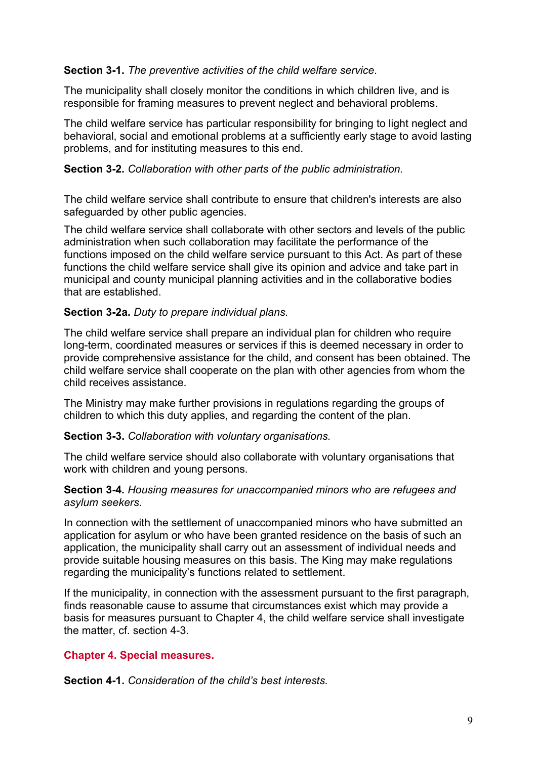### **Section 3-1.** *The preventive activities of the child welfare service*.

The municipality shall closely monitor the conditions in which children live, and is responsible for framing measures to prevent neglect and behavioral problems.

The child welfare service has particular responsibility for bringing to light neglect and behavioral, social and emotional problems at a sufficiently early stage to avoid lasting problems, and for instituting measures to this end.

### **Section 3-2.** *Collaboration with other parts of the public administration.*

The child welfare service shall contribute to ensure that children's interests are also safeguarded by other public agencies.

The child welfare service shall collaborate with other sectors and levels of the public administration when such collaboration may facilitate the performance of the functions imposed on the child welfare service pursuant to this Act. As part of these functions the child welfare service shall give its opinion and advice and take part in municipal and county municipal planning activities and in the collaborative bodies that are established.

### **Section 3-2a.** *Duty to prepare individual plans.*

The child welfare service shall prepare an individual plan for children who require long-term, coordinated measures or services if this is deemed necessary in order to provide comprehensive assistance for the child, and consent has been obtained. The child welfare service shall cooperate on the plan with other agencies from whom the child receives assistance.

The Ministry may make further provisions in regulations regarding the groups of children to which this duty applies, and regarding the content of the plan.

### **Section 3-3.** *Collaboration with voluntary organisations.*

The child welfare service should also collaborate with voluntary organisations that work with children and young persons.

### **Section 3-4.** *Housing measures for unaccompanied minors who are refugees and asylum seekers.*

In connection with the settlement of unaccompanied minors who have submitted an application for asylum or who have been granted residence on the basis of such an application, the municipality shall carry out an assessment of individual needs and provide suitable housing measures on this basis. The King may make regulations regarding the municipality's functions related to settlement.

If the municipality, in connection with the assessment pursuant to the first paragraph, finds reasonable cause to assume that circumstances exist which may provide a basis for measures pursuant to Chapter 4, the child welfare service shall investigate the matter, cf. section 4-3.

## **Chapter 4. Special measures.**

**Section 4-1.** *Consideration of the child's best interests.*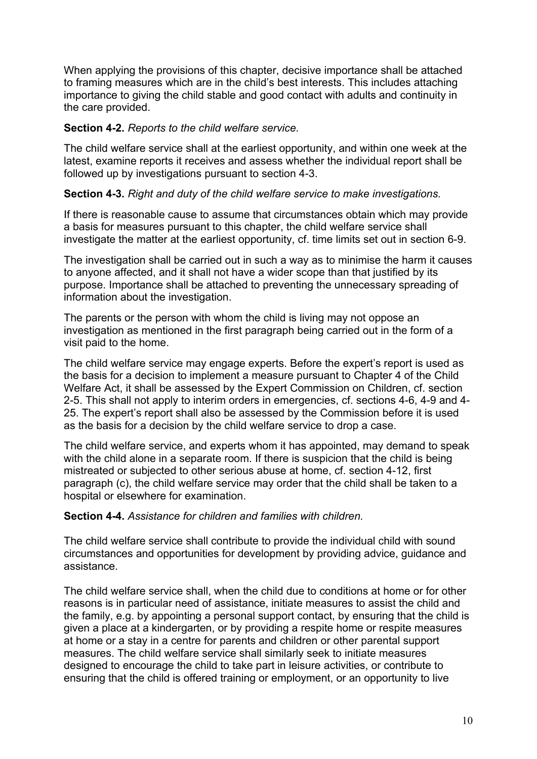When applying the provisions of this chapter, decisive importance shall be attached to framing measures which are in the child's best interests. This includes attaching importance to giving the child stable and good contact with adults and continuity in the care provided.

### **Section 4-2.** *Reports to the child welfare service.*

The child welfare service shall at the earliest opportunity, and within one week at the latest, examine reports it receives and assess whether the individual report shall be followed up by investigations pursuant to section 4-3.

## **Section 4-3.** *Right and duty of the child welfare service to make investigations.*

If there is reasonable cause to assume that circumstances obtain which may provide a basis for measures pursuant to this chapter, the child welfare service shall investigate the matter at the earliest opportunity, cf. time limits set out in section 6-9.

The investigation shall be carried out in such a way as to minimise the harm it causes to anyone affected, and it shall not have a wider scope than that justified by its purpose. Importance shall be attached to preventing the unnecessary spreading of information about the investigation.

The parents or the person with whom the child is living may not oppose an investigation as mentioned in the first paragraph being carried out in the form of a visit paid to the home.

The child welfare service may engage experts. Before the expert's report is used as the basis for a decision to implement a measure pursuant to Chapter 4 of the Child Welfare Act, it shall be assessed by the Expert Commission on Children, cf. section 2-5. This shall not apply to interim orders in emergencies, cf. sections 4-6, 4-9 and 4- 25. The expert's report shall also be assessed by the Commission before it is used as the basis for a decision by the child welfare service to drop a case.

The child welfare service, and experts whom it has appointed, may demand to speak with the child alone in a separate room. If there is suspicion that the child is being mistreated or subjected to other serious abuse at home, cf. section 4-12, first paragraph (c), the child welfare service may order that the child shall be taken to a hospital or elsewhere for examination.

### **Section 4-4.** *Assistance for children and families with children.*

The child welfare service shall contribute to provide the individual child with sound circumstances and opportunities for development by providing advice, guidance and assistance.

The child welfare service shall, when the child due to conditions at home or for other reasons is in particular need of assistance, initiate measures to assist the child and the family, e.g. by appointing a personal support contact, by ensuring that the child is given a place at a kindergarten, or by providing a respite home or respite measures at home or a stay in a centre for parents and children or other parental support measures. The child welfare service shall similarly seek to initiate measures designed to encourage the child to take part in leisure activities, or contribute to ensuring that the child is offered training or employment, or an opportunity to live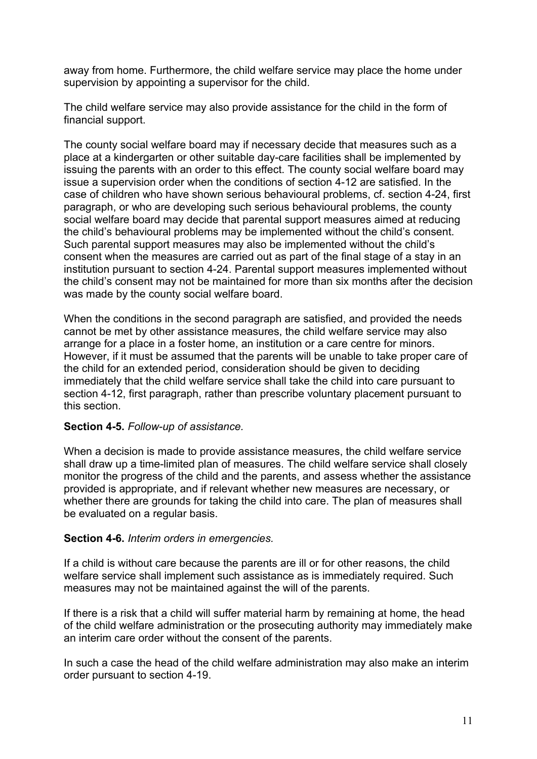away from home. Furthermore, the child welfare service may place the home under supervision by appointing a supervisor for the child.

The child welfare service may also provide assistance for the child in the form of financial support.

The county social welfare board may if necessary decide that measures such as a place at a kindergarten or other suitable day-care facilities shall be implemented by issuing the parents with an order to this effect. The county social welfare board may issue a supervision order when the conditions of section 4-12 are satisfied. In the case of children who have shown serious behavioural problems, cf. section 4-24, first paragraph, or who are developing such serious behavioural problems, the county social welfare board may decide that parental support measures aimed at reducing the child's behavioural problems may be implemented without the child's consent. Such parental support measures may also be implemented without the child's consent when the measures are carried out as part of the final stage of a stay in an institution pursuant to section 4-24. Parental support measures implemented without the child's consent may not be maintained for more than six months after the decision was made by the county social welfare board.

When the conditions in the second paragraph are satisfied, and provided the needs cannot be met by other assistance measures, the child welfare service may also arrange for a place in a foster home, an institution or a care centre for minors. However, if it must be assumed that the parents will be unable to take proper care of the child for an extended period, consideration should be given to deciding immediately that the child welfare service shall take the child into care pursuant to section 4-12, first paragraph, rather than prescribe voluntary placement pursuant to this section.

## **Section 4-5.** *Follow-up of assistance.*

When a decision is made to provide assistance measures, the child welfare service shall draw up a time-limited plan of measures. The child welfare service shall closely monitor the progress of the child and the parents, and assess whether the assistance provided is appropriate, and if relevant whether new measures are necessary, or whether there are grounds for taking the child into care. The plan of measures shall be evaluated on a regular basis.

## **Section 4-6.** *Interim orders in emergencies.*

If a child is without care because the parents are ill or for other reasons, the child welfare service shall implement such assistance as is immediately required. Such measures may not be maintained against the will of the parents.

If there is a risk that a child will suffer material harm by remaining at home, the head of the child welfare administration or the prosecuting authority may immediately make an interim care order without the consent of the parents.

In such a case the head of the child welfare administration may also make an interim order pursuant to section 4-19.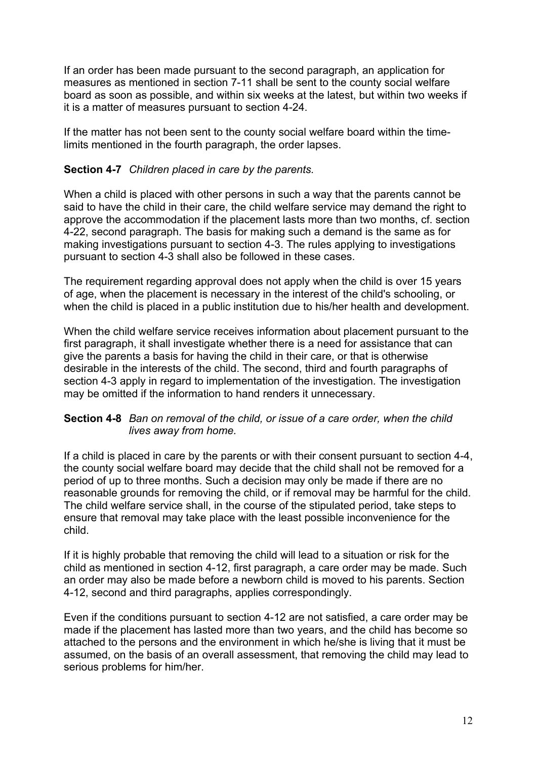If an order has been made pursuant to the second paragraph, an application for measures as mentioned in section 7-11 shall be sent to the county social welfare board as soon as possible, and within six weeks at the latest, but within two weeks if it is a matter of measures pursuant to section 4-24.

If the matter has not been sent to the county social welfare board within the timelimits mentioned in the fourth paragraph, the order lapses.

### **Section 4-7** *Children placed in care by the parents.*

When a child is placed with other persons in such a way that the parents cannot be said to have the child in their care, the child welfare service may demand the right to approve the accommodation if the placement lasts more than two months, cf. section 4-22, second paragraph. The basis for making such a demand is the same as for making investigations pursuant to section 4-3. The rules applying to investigations pursuant to section 4-3 shall also be followed in these cases.

The requirement regarding approval does not apply when the child is over 15 years of age, when the placement is necessary in the interest of the child's schooling, or when the child is placed in a public institution due to his/her health and development.

When the child welfare service receives information about placement pursuant to the first paragraph, it shall investigate whether there is a need for assistance that can give the parents a basis for having the child in their care, or that is otherwise desirable in the interests of the child. The second, third and fourth paragraphs of section 4-3 apply in regard to implementation of the investigation. The investigation may be omitted if the information to hand renders it unnecessary.

### **Section 4-8** *Ban on removal of the child, or issue of a care order, when the child lives away from home.*

If a child is placed in care by the parents or with their consent pursuant to section 4-4, the county social welfare board may decide that the child shall not be removed for a period of up to three months. Such a decision may only be made if there are no reasonable grounds for removing the child, or if removal may be harmful for the child. The child welfare service shall, in the course of the stipulated period, take steps to ensure that removal may take place with the least possible inconvenience for the child.

If it is highly probable that removing the child will lead to a situation or risk for the child as mentioned in section 4-12, first paragraph, a care order may be made. Such an order may also be made before a newborn child is moved to his parents. Section 4-12, second and third paragraphs, applies correspondingly.

Even if the conditions pursuant to section 4-12 are not satisfied, a care order may be made if the placement has lasted more than two years, and the child has become so attached to the persons and the environment in which he/she is living that it must be assumed, on the basis of an overall assessment, that removing the child may lead to serious problems for him/her.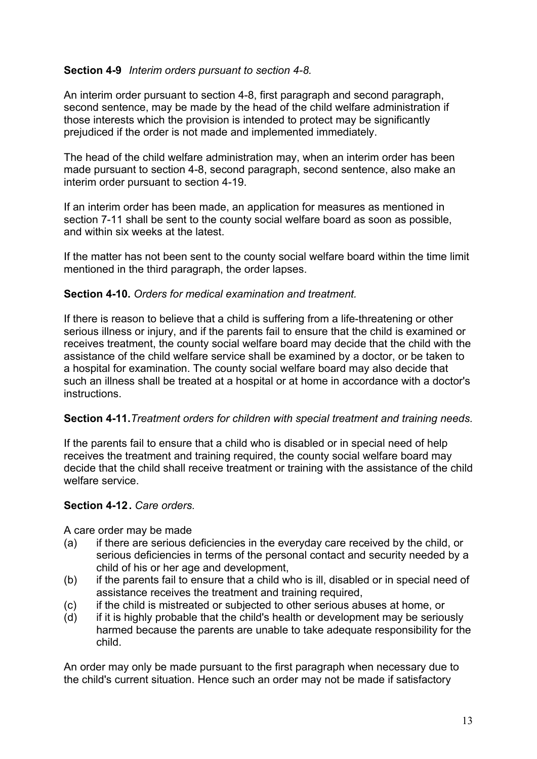## **Section 4-9** *Interim orders pursuant to section 4-8.*

An interim order pursuant to section 4-8, first paragraph and second paragraph, second sentence, may be made by the head of the child welfare administration if those interests which the provision is intended to protect may be significantly prejudiced if the order is not made and implemented immediately.

The head of the child welfare administration may, when an interim order has been made pursuant to section 4-8, second paragraph, second sentence, also make an interim order pursuant to section 4-19.

If an interim order has been made, an application for measures as mentioned in section 7-11 shall be sent to the county social welfare board as soon as possible, and within six weeks at the latest.

If the matter has not been sent to the county social welfare board within the time limit mentioned in the third paragraph, the order lapses.

### **Section 4-10.** *Orders for medical examination and treatment.*

If there is reason to believe that a child is suffering from a life-threatening or other serious illness or injury, and if the parents fail to ensure that the child is examined or receives treatment, the county social welfare board may decide that the child with the assistance of the child welfare service shall be examined by a doctor, or be taken to a hospital for examination. The county social welfare board may also decide that such an illness shall be treated at a hospital or at home in accordance with a doctor's **instructions** 

### **Section 4-11.***Treatment orders for children with special treatment and training needs.*

If the parents fail to ensure that a child who is disabled or in special need of help receives the treatment and training required, the county social welfare board may decide that the child shall receive treatment or training with the assistance of the child welfare service.

### **Section 4-12 .** *Care orders.*

A care order may be made

- (a) if there are serious deficiencies in the everyday care received by the child, or serious deficiencies in terms of the personal contact and security needed by a child of his or her age and development,
- (b) if the parents fail to ensure that a child who is ill, disabled or in special need of assistance receives the treatment and training required,
- (c) if the child is mistreated or subjected to other serious abuses at home, or
- (d) if it is highly probable that the child's health or development may be seriously harmed because the parents are unable to take adequate responsibility for the child.

An order may only be made pursuant to the first paragraph when necessary due to the child's current situation. Hence such an order may not be made if satisfactory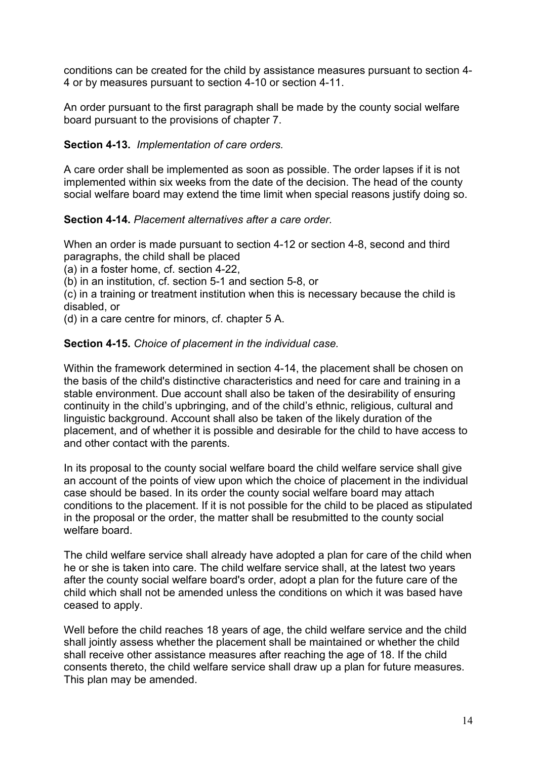conditions can be created for the child by assistance measures pursuant to section 4- 4 or by measures pursuant to section 4-10 or section 4-11.

An order pursuant to the first paragraph shall be made by the county social welfare board pursuant to the provisions of chapter 7.

# **Section 4-13.** *Implementation of care orders.*

A care order shall be implemented as soon as possible. The order lapses if it is not implemented within six weeks from the date of the decision. The head of the county social welfare board may extend the time limit when special reasons justify doing so.

## **Section 4-14.** *Placement alternatives after a care order.*

When an order is made pursuant to section 4-12 or section 4-8, second and third paragraphs, the child shall be placed

(a) in a foster home, cf. section 4-22,

(b) in an institution, cf. section 5-1 and section 5-8, or

(c) in a training or treatment institution when this is necessary because the child is disabled, or

(d) in a care centre for minors, cf. chapter 5 A.

## **Section 4-15.** *Choice of placement in the individual case.*

Within the framework determined in section 4-14, the placement shall be chosen on the basis of the child's distinctive characteristics and need for care and training in a stable environment. Due account shall also be taken of the desirability of ensuring continuity in the child's upbringing, and of the child's ethnic, religious, cultural and linguistic background. Account shall also be taken of the likely duration of the placement, and of whether it is possible and desirable for the child to have access to and other contact with the parents.

In its proposal to the county social welfare board the child welfare service shall give an account of the points of view upon which the choice of placement in the individual case should be based. In its order the county social welfare board may attach conditions to the placement. If it is not possible for the child to be placed as stipulated in the proposal or the order, the matter shall be resubmitted to the county social welfare board.

The child welfare service shall already have adopted a plan for care of the child when he or she is taken into care. The child welfare service shall, at the latest two years after the county social welfare board's order, adopt a plan for the future care of the child which shall not be amended unless the conditions on which it was based have ceased to apply.

Well before the child reaches 18 years of age, the child welfare service and the child shall jointly assess whether the placement shall be maintained or whether the child shall receive other assistance measures after reaching the age of 18. If the child consents thereto, the child welfare service shall draw up a plan for future measures. This plan may be amended.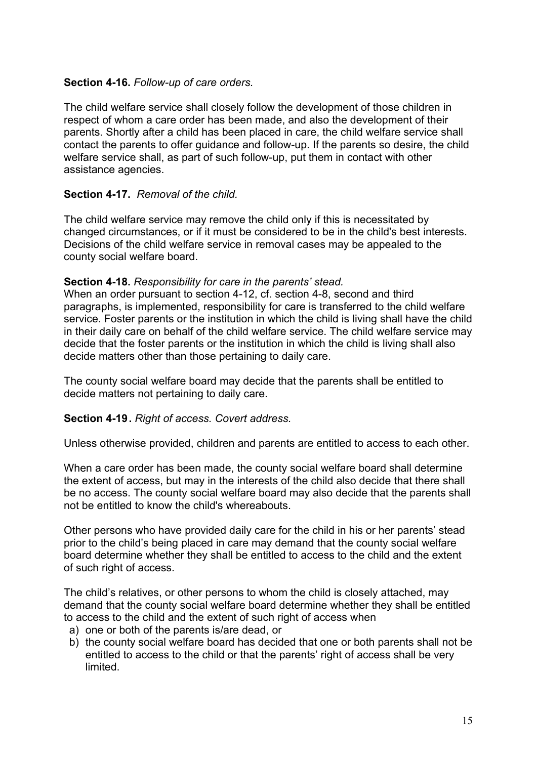### **Section 4-16.** *Follow-up of care orders.*

The child welfare service shall closely follow the development of those children in respect of whom a care order has been made, and also the development of their parents. Shortly after a child has been placed in care, the child welfare service shall contact the parents to offer guidance and follow-up. If the parents so desire, the child welfare service shall, as part of such follow-up, put them in contact with other assistance agencies.

### **Section 4-17.** *Removal of the child.*

The child welfare service may remove the child only if this is necessitated by changed circumstances, or if it must be considered to be in the child's best interests. Decisions of the child welfare service in removal cases may be appealed to the county social welfare board.

### **Section 4-18.** *Responsibility for care in the parents' stead.*

When an order pursuant to section 4-12, cf. section 4-8, second and third paragraphs, is implemented, responsibility for care is transferred to the child welfare service. Foster parents or the institution in which the child is living shall have the child in their daily care on behalf of the child welfare service. The child welfare service may decide that the foster parents or the institution in which the child is living shall also decide matters other than those pertaining to daily care.

The county social welfare board may decide that the parents shall be entitled to decide matters not pertaining to daily care.

### **Section 4-19 .** *Right of access. Covert address.*

Unless otherwise provided, children and parents are entitled to access to each other.

When a care order has been made, the county social welfare board shall determine the extent of access, but may in the interests of the child also decide that there shall be no access. The county social welfare board may also decide that the parents shall not be entitled to know the child's whereabouts.

Other persons who have provided daily care for the child in his or her parents' stead prior to the child's being placed in care may demand that the county social welfare board determine whether they shall be entitled to access to the child and the extent of such right of access.

The child's relatives, or other persons to whom the child is closely attached, may demand that the county social welfare board determine whether they shall be entitled to access to the child and the extent of such right of access when

- a) one or both of the parents is/are dead, or
- b) the county social welfare board has decided that one or both parents shall not be entitled to access to the child or that the parents' right of access shall be very limited.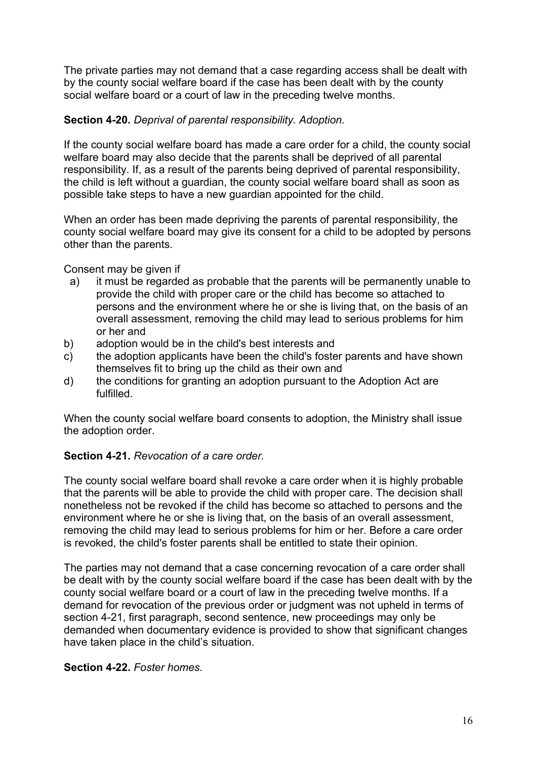The private parties may not demand that a case regarding access shall be dealt with by the county social welfare board if the case has been dealt with by the county social welfare board or a court of law in the preceding twelve months.

## **Section 4-20.** *Deprival of parental responsibility. Adoption.*

If the county social welfare board has made a care order for a child, the county social welfare board may also decide that the parents shall be deprived of all parental responsibility. If, as a result of the parents being deprived of parental responsibility, the child is left without a guardian, the county social welfare board shall as soon as possible take steps to have a new guardian appointed for the child.

When an order has been made depriving the parents of parental responsibility, the county social welfare board may give its consent for a child to be adopted by persons other than the parents.

Consent may be given if

- a) it must be regarded as probable that the parents will be permanently unable to provide the child with proper care or the child has become so attached to persons and the environment where he or she is living that, on the basis of an overall assessment, removing the child may lead to serious problems for him or her and
- b) adoption would be in the child's best interests and
- c) the adoption applicants have been the child's foster parents and have shown themselves fit to bring up the child as their own and
- d) the conditions for granting an adoption pursuant to the Adoption Act are fulfilled.

When the county social welfare board consents to adoption, the Ministry shall issue the adoption order.

## **Section 4-21.** *Revocation of a care order.*

The county social welfare board shall revoke a care order when it is highly probable that the parents will be able to provide the child with proper care. The decision shall nonetheless not be revoked if the child has become so attached to persons and the environment where he or she is living that, on the basis of an overall assessment, removing the child may lead to serious problems for him or her. Before a care order is revoked, the child's foster parents shall be entitled to state their opinion.

The parties may not demand that a case concerning revocation of a care order shall be dealt with by the county social welfare board if the case has been dealt with by the county social welfare board or a court of law in the preceding twelve months. If a demand for revocation of the previous order or judgment was not upheld in terms of section 4-21, first paragraph, second sentence, new proceedings may only be demanded when documentary evidence is provided to show that significant changes have taken place in the child's situation.

## **Section 4-22.** *Foster homes.*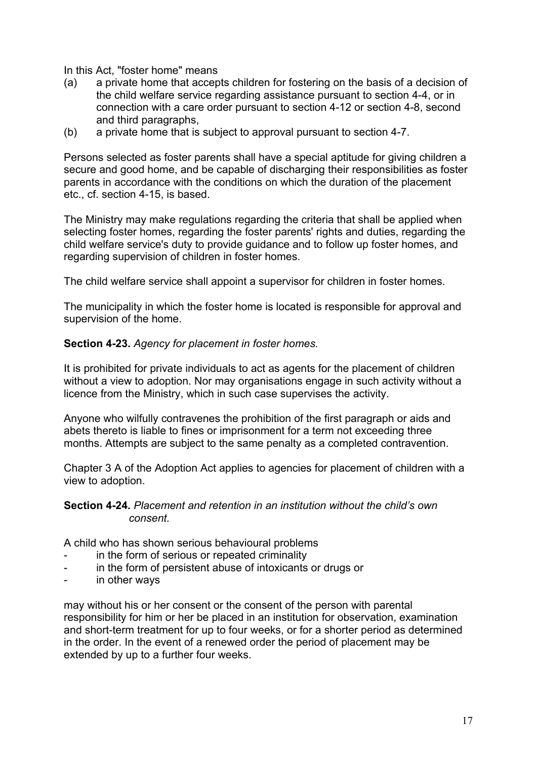In this Act, "foster home" means

- (a) a private home that accepts children for fostering on the basis of a decision of the child welfare service regarding assistance pursuant to section 4-4, or in connection with a care order pursuant to section 4-12 or section 4-8, second and third paragraphs,
- (b) a private home that is subject to approval pursuant to section 4-7.

Persons selected as foster parents shall have a special aptitude for giving children a secure and good home, and be capable of discharging their responsibilities as foster parents in accordance with the conditions on which the duration of the placement etc., cf. section 4-15, is based.

The Ministry may make regulations regarding the criteria that shall be applied when selecting foster homes, regarding the foster parents' rights and duties, regarding the child welfare service's duty to provide guidance and to follow up foster homes, and regarding supervision of children in foster homes.

The child welfare service shall appoint a supervisor for children in foster homes.

The municipality in which the foster home is located is responsible for approval and supervision of the home.

### **Section 4-23.** *Agency for placement in foster homes.*

It is prohibited for private individuals to act as agents for the placement of children without a view to adoption. Nor may organisations engage in such activity without a licence from the Ministry, which in such case supervises the activity.

Anyone who wilfully contravenes the prohibition of the first paragraph or aids and abets thereto is liable to fines or imprisonment for a term not exceeding three months. Attempts are subject to the same penalty as a completed contravention.

Chapter 3 A of the Adoption Act applies to agencies for placement of children with a view to adoption.

### **Section 4-24.** *Placement and retention in an institution without the child's own consent.*

A child who has shown serious behavioural problems

- in the form of serious or repeated criminality
- in the form of persistent abuse of intoxicants or drugs or
- in other ways

may without his or her consent or the consent of the person with parental responsibility for him or her be placed in an institution for observation, examination and short-term treatment for up to four weeks, or for a shorter period as determined in the order. In the event of a renewed order the period of placement may be extended by up to a further four weeks.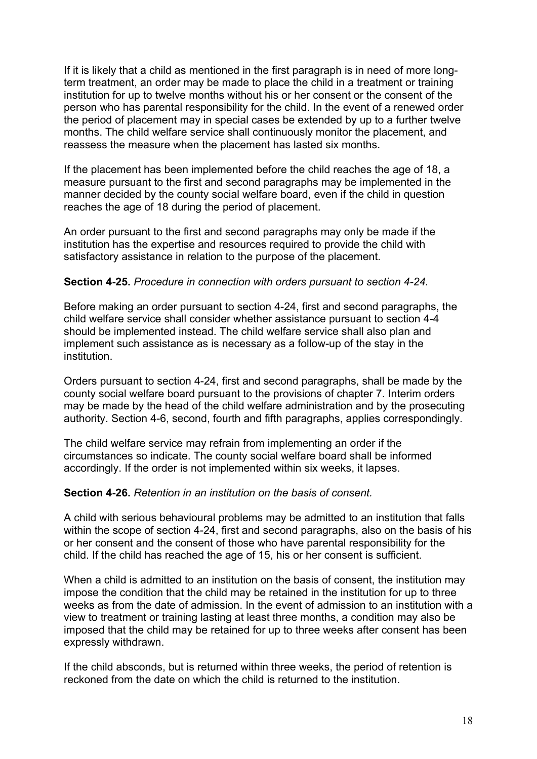If it is likely that a child as mentioned in the first paragraph is in need of more longterm treatment, an order may be made to place the child in a treatment or training institution for up to twelve months without his or her consent or the consent of the person who has parental responsibility for the child. In the event of a renewed order the period of placement may in special cases be extended by up to a further twelve months. The child welfare service shall continuously monitor the placement, and reassess the measure when the placement has lasted six months.

If the placement has been implemented before the child reaches the age of 18, a measure pursuant to the first and second paragraphs may be implemented in the manner decided by the county social welfare board, even if the child in question reaches the age of 18 during the period of placement.

An order pursuant to the first and second paragraphs may only be made if the institution has the expertise and resources required to provide the child with satisfactory assistance in relation to the purpose of the placement.

### **Section 4-25.** *Procedure in connection with orders pursuant to section 4-24.*

Before making an order pursuant to section 4-24, first and second paragraphs, the child welfare service shall consider whether assistance pursuant to section 4-4 should be implemented instead. The child welfare service shall also plan and implement such assistance as is necessary as a follow-up of the stay in the institution.

Orders pursuant to section 4-24, first and second paragraphs, shall be made by the county social welfare board pursuant to the provisions of chapter 7. Interim orders may be made by the head of the child welfare administration and by the prosecuting authority. Section 4-6, second, fourth and fifth paragraphs, applies correspondingly.

The child welfare service may refrain from implementing an order if the circumstances so indicate. The county social welfare board shall be informed accordingly. If the order is not implemented within six weeks, it lapses.

### **Section 4-26.** *Retention in an institution on the basis of consent.*

A child with serious behavioural problems may be admitted to an institution that falls within the scope of section 4-24, first and second paragraphs, also on the basis of his or her consent and the consent of those who have parental responsibility for the child. If the child has reached the age of 15, his or her consent is sufficient.

When a child is admitted to an institution on the basis of consent, the institution may impose the condition that the child may be retained in the institution for up to three weeks as from the date of admission. In the event of admission to an institution with a view to treatment or training lasting at least three months, a condition may also be imposed that the child may be retained for up to three weeks after consent has been expressly withdrawn.

If the child absconds, but is returned within three weeks, the period of retention is reckoned from the date on which the child is returned to the institution.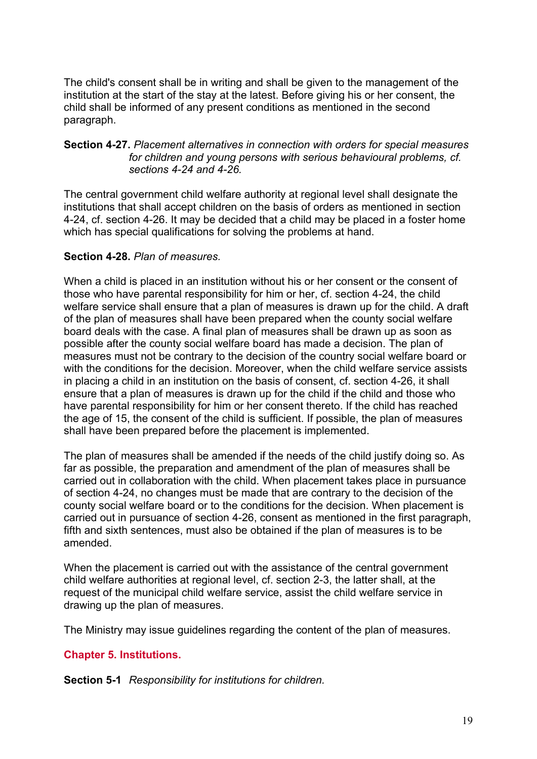The child's consent shall be in writing and shall be given to the management of the institution at the start of the stay at the latest. Before giving his or her consent, the child shall be informed of any present conditions as mentioned in the second paragraph.

### **Section 4-27.** *Placement alternatives in connection with orders for special measures*  for children and young persons with serious behavioural problems, cf. *sections 4-24 and 4-26.*

The central government child welfare authority at regional level shall designate the institutions that shall accept children on the basis of orders as mentioned in section 4-24, cf. section 4-26. It may be decided that a child may be placed in a foster home which has special qualifications for solving the problems at hand.

### **Section 4-28.** *Plan of measures.*

When a child is placed in an institution without his or her consent or the consent of those who have parental responsibility for him or her, cf. section 4-24, the child welfare service shall ensure that a plan of measures is drawn up for the child. A draft of the plan of measures shall have been prepared when the county social welfare board deals with the case. A final plan of measures shall be drawn up as soon as possible after the county social welfare board has made a decision. The plan of measures must not be contrary to the decision of the country social welfare board or with the conditions for the decision. Moreover, when the child welfare service assists in placing a child in an institution on the basis of consent, cf. section 4-26, it shall ensure that a plan of measures is drawn up for the child if the child and those who have parental responsibility for him or her consent thereto. If the child has reached the age of 15, the consent of the child is sufficient. If possible, the plan of measures shall have been prepared before the placement is implemented.

The plan of measures shall be amended if the needs of the child justify doing so. As far as possible, the preparation and amendment of the plan of measures shall be carried out in collaboration with the child. When placement takes place in pursuance of section 4-24, no changes must be made that are contrary to the decision of the county social welfare board or to the conditions for the decision. When placement is carried out in pursuance of section 4-26, consent as mentioned in the first paragraph, fifth and sixth sentences, must also be obtained if the plan of measures is to be amended.

When the placement is carried out with the assistance of the central government child welfare authorities at regional level, cf. section 2-3, the latter shall, at the request of the municipal child welfare service, assist the child welfare service in drawing up the plan of measures.

The Ministry may issue guidelines regarding the content of the plan of measures.

## **Chapter 5. Institutions.**

**Section 5-1** *Responsibility for institutions for children.*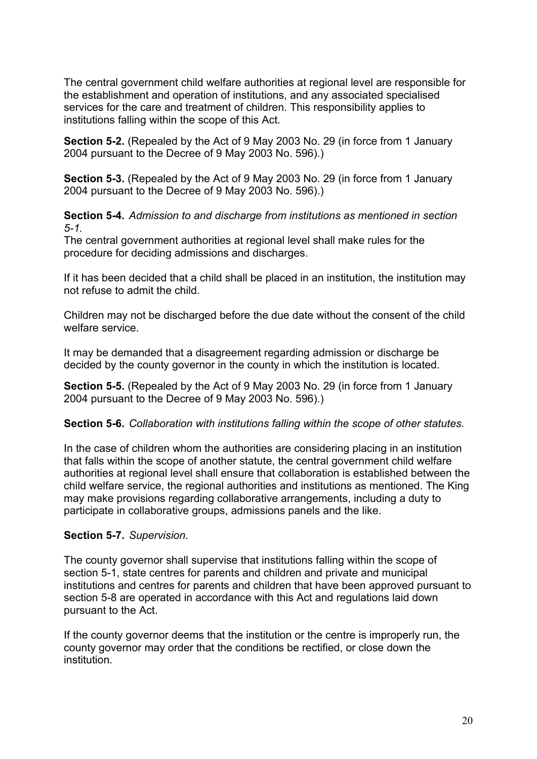The central government child welfare authorities at regional level are responsible for the establishment and operation of institutions, and any associated specialised services for the care and treatment of children. This responsibility applies to institutions falling within the scope of this Act.

**Section 5-2.** (Repealed by the Act of 9 May 2003 No. 29 (in force from 1 January 2004 pursuant to the Decree of 9 May 2003 No. 596).)

**Section 5-3.** (Repealed by the Act of 9 May 2003 No. 29 (in force from 1 January 2004 pursuant to the Decree of 9 May 2003 No. 596).)

**Section 5-4.** *Admission to and discharge from institutions as mentioned in section 5-1.* 

The central government authorities at regional level shall make rules for the procedure for deciding admissions and discharges.

If it has been decided that a child shall be placed in an institution, the institution may not refuse to admit the child.

Children may not be discharged before the due date without the consent of the child welfare service.

It may be demanded that a disagreement regarding admission or discharge be decided by the county governor in the county in which the institution is located.

**Section 5-5.** (Repealed by the Act of 9 May 2003 No. 29 (in force from 1 January 2004 pursuant to the Decree of 9 May 2003 No. 596).)

## **Section 5-6.** *Collaboration with institutions falling within the scope of other statutes.*

In the case of children whom the authorities are considering placing in an institution that falls within the scope of another statute, the central government child welfare authorities at regional level shall ensure that collaboration is established between the child welfare service, the regional authorities and institutions as mentioned. The King may make provisions regarding collaborative arrangements, including a duty to participate in collaborative groups, admissions panels and the like.

## **Section 5-7.** *Supervision.*

The county governor shall supervise that institutions falling within the scope of section 5-1, state centres for parents and children and private and municipal institutions and centres for parents and children that have been approved pursuant to section 5-8 are operated in accordance with this Act and regulations laid down pursuant to the Act.

If the county governor deems that the institution or the centre is improperly run, the county governor may order that the conditions be rectified, or close down the institution.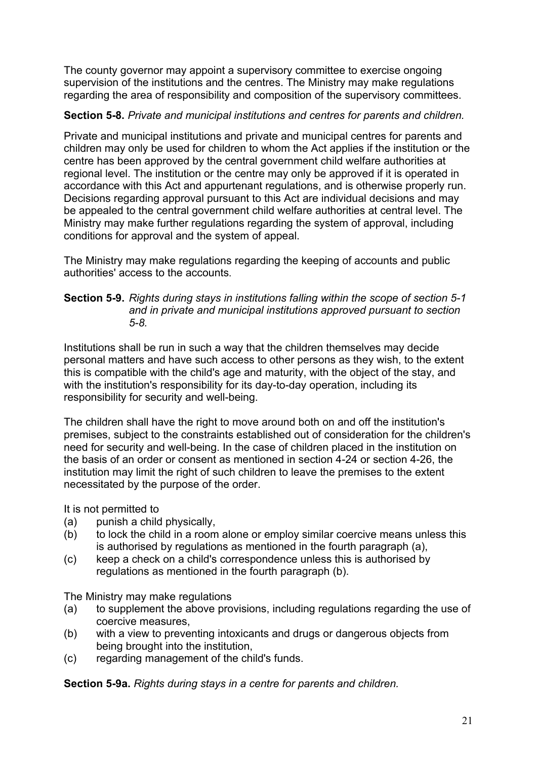The county governor may appoint a supervisory committee to exercise ongoing supervision of the institutions and the centres. The Ministry may make regulations regarding the area of responsibility and composition of the supervisory committees.

# **Section 5-8.** *Private and municipal institutions and centres for parents and children.*

Private and municipal institutions and private and municipal centres for parents and children may only be used for children to whom the Act applies if the institution or the centre has been approved by the central government child welfare authorities at regional level. The institution or the centre may only be approved if it is operated in accordance with this Act and appurtenant regulations, and is otherwise properly run. Decisions regarding approval pursuant to this Act are individual decisions and may be appealed to the central government child welfare authorities at central level. The Ministry may make further regulations regarding the system of approval, including conditions for approval and the system of appeal.

The Ministry may make regulations regarding the keeping of accounts and public authorities' access to the accounts.

### **Section 5-9.** *Rights during stays in institutions falling within the scope of section 5-1 and in private and municipal institutions approved pursuant to section*  *5-8.*

Institutions shall be run in such a way that the children themselves may decide personal matters and have such access to other persons as they wish, to the extent this is compatible with the child's age and maturity, with the object of the stay, and with the institution's responsibility for its day-to-day operation, including its responsibility for security and well-being.

The children shall have the right to move around both on and off the institution's premises, subject to the constraints established out of consideration for the children's need for security and well-being. In the case of children placed in the institution on the basis of an order or consent as mentioned in section 4-24 or section 4-26, the institution may limit the right of such children to leave the premises to the extent necessitated by the purpose of the order.

It is not permitted to

- (a) punish a child physically,
- (b) to lock the child in a room alone or employ similar coercive means unless this is authorised by regulations as mentioned in the fourth paragraph (a),
- (c) keep a check on a child's correspondence unless this is authorised by regulations as mentioned in the fourth paragraph (b).

The Ministry may make regulations

- (a) to supplement the above provisions, including regulations regarding the use of coercive measures,
- (b) with a view to preventing intoxicants and drugs or dangerous objects from being brought into the institution,
- (c) regarding management of the child's funds.

**Section 5-9a.** *Rights during stays in a centre for parents and children.*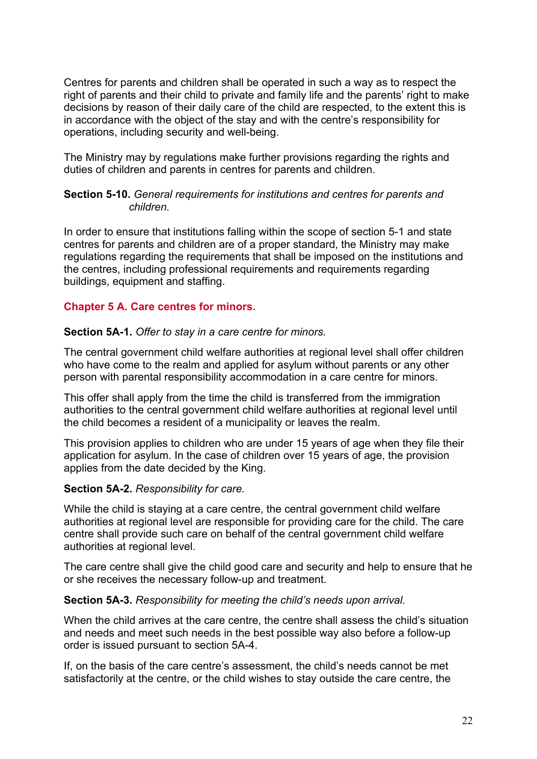Centres for parents and children shall be operated in such a way as to respect the right of parents and their child to private and family life and the parents' right to make decisions by reason of their daily care of the child are respected, to the extent this is in accordance with the object of the stay and with the centre's responsibility for operations, including security and well-being.

The Ministry may by regulations make further provisions regarding the rights and duties of children and parents in centres for parents and children.

### **Section 5-10.** *General requirements for institutions and centres for parents and children.*

In order to ensure that institutions falling within the scope of section 5-1 and state centres for parents and children are of a proper standard, the Ministry may make regulations regarding the requirements that shall be imposed on the institutions and the centres, including professional requirements and requirements regarding buildings, equipment and staffing.

# **Chapter 5 A. Care centres for minors.**

### **Section 5A-1.** *Offer to stay in a care centre for minors.*

The central government child welfare authorities at regional level shall offer children who have come to the realm and applied for asylum without parents or any other person with parental responsibility accommodation in a care centre for minors.

This offer shall apply from the time the child is transferred from the immigration authorities to the central government child welfare authorities at regional level until the child becomes a resident of a municipality or leaves the realm.

This provision applies to children who are under 15 years of age when they file their application for asylum. In the case of children over 15 years of age, the provision applies from the date decided by the King.

### **Section 5A-2.** *Responsibility for care.*

While the child is staying at a care centre, the central government child welfare authorities at regional level are responsible for providing care for the child. The care centre shall provide such care on behalf of the central government child welfare authorities at regional level.

The care centre shall give the child good care and security and help to ensure that he or she receives the necessary follow-up and treatment.

### **Section 5A-3.** *Responsibility for meeting the child's needs upon arrival.*

When the child arrives at the care centre, the centre shall assess the child's situation and needs and meet such needs in the best possible way also before a follow-up order is issued pursuant to section 5A-4.

If, on the basis of the care centre's assessment, the child's needs cannot be met satisfactorily at the centre, or the child wishes to stay outside the care centre, the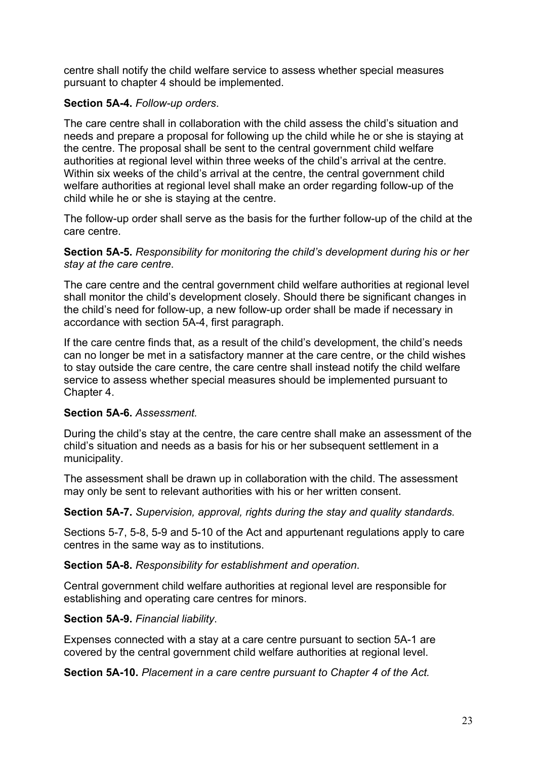centre shall notify the child welfare service to assess whether special measures pursuant to chapter 4 should be implemented.

## **Section 5A-4.** *Follow-up orders*.

The care centre shall in collaboration with the child assess the child's situation and needs and prepare a proposal for following up the child while he or she is staying at the centre. The proposal shall be sent to the central government child welfare authorities at regional level within three weeks of the child's arrival at the centre. Within six weeks of the child's arrival at the centre, the central government child welfare authorities at regional level shall make an order regarding follow-up of the child while he or she is staying at the centre.

The follow-up order shall serve as the basis for the further follow-up of the child at the care centre.

**Section 5A-5.** *Responsibility for monitoring the child's development during his or her stay at the care centre*.

The care centre and the central government child welfare authorities at regional level shall monitor the child's development closely. Should there be significant changes in the child's need for follow-up, a new follow-up order shall be made if necessary in accordance with section 5A-4, first paragraph.

If the care centre finds that, as a result of the child's development, the child's needs can no longer be met in a satisfactory manner at the care centre, or the child wishes to stay outside the care centre, the care centre shall instead notify the child welfare service to assess whether special measures should be implemented pursuant to Chapter 4.

## **Section 5A-6.** *Assessment.*

During the child's stay at the centre, the care centre shall make an assessment of the child's situation and needs as a basis for his or her subsequent settlement in a municipality.

The assessment shall be drawn up in collaboration with the child. The assessment may only be sent to relevant authorities with his or her written consent.

**Section 5A-7.** *Supervision, approval, rights during the stay and quality standards.* 

Sections 5-7, 5-8, 5-9 and 5-10 of the Act and appurtenant regulations apply to care centres in the same way as to institutions.

**Section 5A-8.** *Responsibility for establishment and operation*.

Central government child welfare authorities at regional level are responsible for establishing and operating care centres for minors.

## **Section 5A-9.** *Financial liability*.

Expenses connected with a stay at a care centre pursuant to section 5A-1 are covered by the central government child welfare authorities at regional level.

**Section 5A-10.** *Placement in a care centre pursuant to Chapter 4 of the Act.*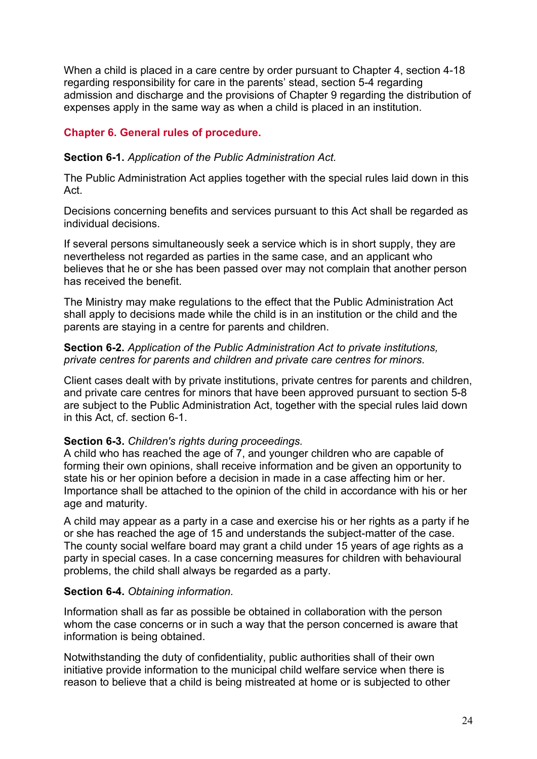When a child is placed in a care centre by order pursuant to Chapter 4, section 4-18 regarding responsibility for care in the parents' stead, section 5-4 regarding admission and discharge and the provisions of Chapter 9 regarding the distribution of expenses apply in the same way as when a child is placed in an institution.

# **Chapter 6. General rules of procedure.**

### **Section 6-1.** *Application of the Public Administration Act.*

The Public Administration Act applies together with the special rules laid down in this Act.

Decisions concerning benefits and services pursuant to this Act shall be regarded as individual decisions.

If several persons simultaneously seek a service which is in short supply, they are nevertheless not regarded as parties in the same case, and an applicant who believes that he or she has been passed over may not complain that another person has received the benefit.

The Ministry may make regulations to the effect that the Public Administration Act shall apply to decisions made while the child is in an institution or the child and the parents are staying in a centre for parents and children.

#### **Section 6-2.** *Application of the Public Administration Act to private institutions, private centres for parents and children and private care centres for minors*.

Client cases dealt with by private institutions, private centres for parents and children, and private care centres for minors that have been approved pursuant to section 5-8 are subject to the Public Administration Act, together with the special rules laid down in this Act, cf. section 6-1.

## **Section 6-3.** *Children's rights during proceedings.*

A child who has reached the age of 7, and younger children who are capable of forming their own opinions, shall receive information and be given an opportunity to state his or her opinion before a decision in made in a case affecting him or her. Importance shall be attached to the opinion of the child in accordance with his or her age and maturity.

A child may appear as a party in a case and exercise his or her rights as a party if he or she has reached the age of 15 and understands the subject-matter of the case. The county social welfare board may grant a child under 15 years of age rights as a party in special cases. In a case concerning measures for children with behavioural problems, the child shall always be regarded as a party.

## **Section 6-4.** *Obtaining information.*

Information shall as far as possible be obtained in collaboration with the person whom the case concerns or in such a way that the person concerned is aware that information is being obtained.

Notwithstanding the duty of confidentiality, public authorities shall of their own initiative provide information to the municipal child welfare service when there is reason to believe that a child is being mistreated at home or is subjected to other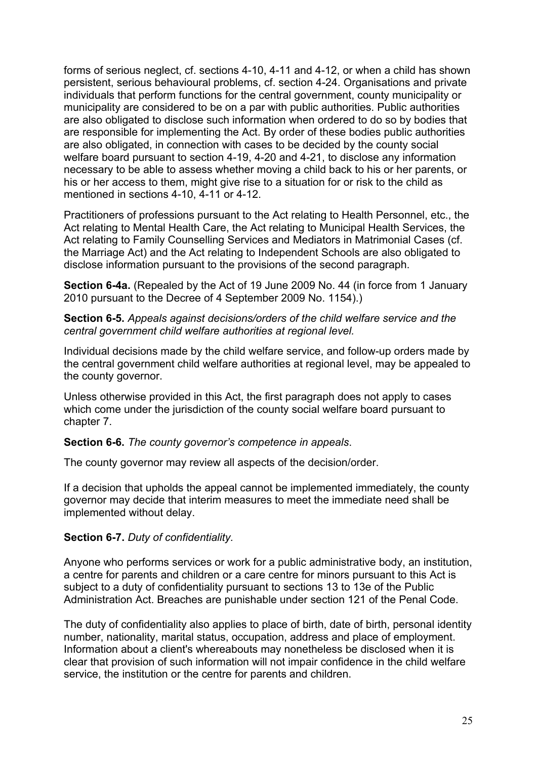forms of serious neglect, cf. sections 4-10, 4-11 and 4-12, or when a child has shown persistent, serious behavioural problems, cf. section 4-24. Organisations and private individuals that perform functions for the central government, county municipality or municipality are considered to be on a par with public authorities. Public authorities are also obligated to disclose such information when ordered to do so by bodies that are responsible for implementing the Act. By order of these bodies public authorities are also obligated, in connection with cases to be decided by the county social welfare board pursuant to section 4-19, 4-20 and 4-21, to disclose any information necessary to be able to assess whether moving a child back to his or her parents, or his or her access to them, might give rise to a situation for or risk to the child as mentioned in sections 4-10, 4-11 or 4-12.

Practitioners of professions pursuant to the Act relating to Health Personnel, etc., the Act relating to Mental Health Care, the Act relating to Municipal Health Services, the Act relating to Family Counselling Services and Mediators in Matrimonial Cases (cf. the Marriage Act) and the Act relating to Independent Schools are also obligated to disclose information pursuant to the provisions of the second paragraph.

**Section 6-4a.** (Repealed by the Act of 19 June 2009 No. 44 (in force from 1 January 2010 pursuant to the Decree of 4 September 2009 No. 1154).)

**Section 6-5.** *Appeals against decisions/orders of the child welfare service and the central government child welfare authorities at regional level.* 

Individual decisions made by the child welfare service, and follow-up orders made by the central government child welfare authorities at regional level, may be appealed to the county governor.

Unless otherwise provided in this Act, the first paragraph does not apply to cases which come under the jurisdiction of the county social welfare board pursuant to chapter 7.

**Section 6-6.** *The county governor's competence in appeals*.

The county governor may review all aspects of the decision/order.

If a decision that upholds the appeal cannot be implemented immediately, the county governor may decide that interim measures to meet the immediate need shall be implemented without delay.

### **Section 6-7.** *Duty of confidentiality.*

Anyone who performs services or work for a public administrative body, an institution, a centre for parents and children or a care centre for minors pursuant to this Act is subject to a duty of confidentiality pursuant to sections 13 to 13e of the Public Administration Act. Breaches are punishable under section 121 of the Penal Code.

The duty of confidentiality also applies to place of birth, date of birth, personal identity number, nationality, marital status, occupation, address and place of employment. Information about a client's whereabouts may nonetheless be disclosed when it is clear that provision of such information will not impair confidence in the child welfare service, the institution or the centre for parents and children.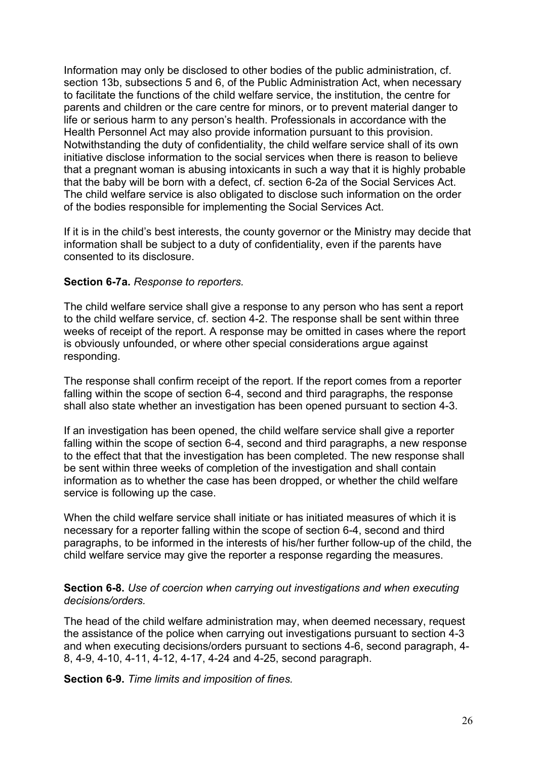Information may only be disclosed to other bodies of the public administration, cf. section 13b, subsections 5 and 6, of the Public Administration Act, when necessary to facilitate the functions of the child welfare service, the institution, the centre for parents and children or the care centre for minors, or to prevent material danger to life or serious harm to any person's health. Professionals in accordance with the Health Personnel Act may also provide information pursuant to this provision. Notwithstanding the duty of confidentiality, the child welfare service shall of its own initiative disclose information to the social services when there is reason to believe that a pregnant woman is abusing intoxicants in such a way that it is highly probable that the baby will be born with a defect, cf. section 6-2a of the Social Services Act. The child welfare service is also obligated to disclose such information on the order of the bodies responsible for implementing the Social Services Act.

If it is in the child's best interests, the county governor or the Ministry may decide that information shall be subject to a duty of confidentiality, even if the parents have consented to its disclosure.

#### **Section 6-7a.** *Response to reporters.*

The child welfare service shall give a response to any person who has sent a report to the child welfare service, cf. section 4-2. The response shall be sent within three weeks of receipt of the report. A response may be omitted in cases where the report is obviously unfounded, or where other special considerations argue against responding.

The response shall confirm receipt of the report. If the report comes from a reporter falling within the scope of section 6-4, second and third paragraphs, the response shall also state whether an investigation has been opened pursuant to section 4-3.

If an investigation has been opened, the child welfare service shall give a reporter falling within the scope of section 6-4, second and third paragraphs, a new response to the effect that that the investigation has been completed. The new response shall be sent within three weeks of completion of the investigation and shall contain information as to whether the case has been dropped, or whether the child welfare service is following up the case.

When the child welfare service shall initiate or has initiated measures of which it is necessary for a reporter falling within the scope of section 6-4, second and third paragraphs, to be informed in the interests of his/her further follow-up of the child, the child welfare service may give the reporter a response regarding the measures.

**Section 6-8.** *Use of coercion when carrying out investigations and when executing decisions/orders.*

The head of the child welfare administration may, when deemed necessary, request the assistance of the police when carrying out investigations pursuant to section 4-3 and when executing decisions/orders pursuant to sections 4-6, second paragraph, 4- 8, 4-9, 4-10, 4-11, 4-12, 4-17, 4-24 and 4-25, second paragraph.

**Section 6-9.** *Time limits and imposition of fines.*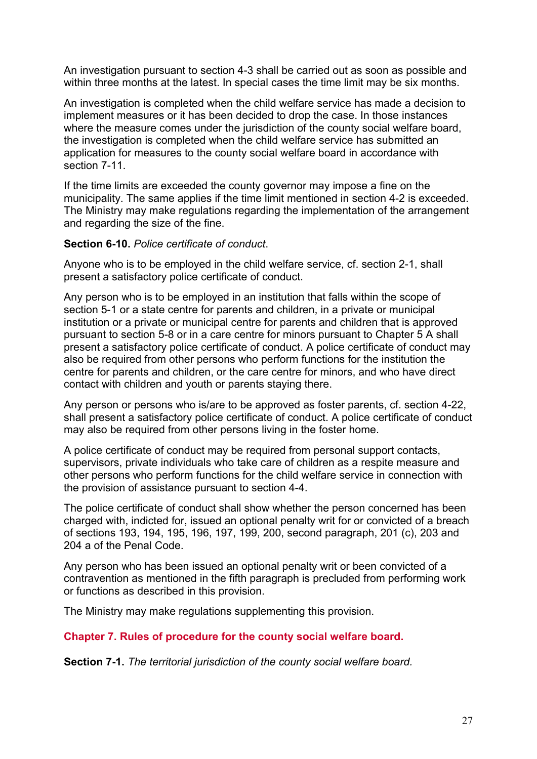An investigation pursuant to section 4-3 shall be carried out as soon as possible and within three months at the latest. In special cases the time limit may be six months.

An investigation is completed when the child welfare service has made a decision to implement measures or it has been decided to drop the case. In those instances where the measure comes under the jurisdiction of the county social welfare board, the investigation is completed when the child welfare service has submitted an application for measures to the county social welfare board in accordance with section 7-11

If the time limits are exceeded the county governor may impose a fine on the municipality. The same applies if the time limit mentioned in section 4-2 is exceeded. The Ministry may make regulations regarding the implementation of the arrangement and regarding the size of the fine.

#### **Section 6-10.** *Police certificate of conduct*.

Anyone who is to be employed in the child welfare service, cf. section 2-1, shall present a satisfactory police certificate of conduct.

Any person who is to be employed in an institution that falls within the scope of section 5-1 or a state centre for parents and children, in a private or municipal institution or a private or municipal centre for parents and children that is approved pursuant to section 5-8 or in a care centre for minors pursuant to Chapter 5 A shall present a satisfactory police certificate of conduct. A police certificate of conduct may also be required from other persons who perform functions for the institution the centre for parents and children, or the care centre for minors, and who have direct contact with children and youth or parents staying there.

Any person or persons who is/are to be approved as foster parents, cf. section 4-22, shall present a satisfactory police certificate of conduct. A police certificate of conduct may also be required from other persons living in the foster home.

A police certificate of conduct may be required from personal support contacts, supervisors, private individuals who take care of children as a respite measure and other persons who perform functions for the child welfare service in connection with the provision of assistance pursuant to section 4-4.

The police certificate of conduct shall show whether the person concerned has been charged with, indicted for, issued an optional penalty writ for or convicted of a breach of sections 193, 194, 195, 196, 197, 199, 200, second paragraph, 201 (c), 203 and 204 a of the Penal Code.

Any person who has been issued an optional penalty writ or been convicted of a contravention as mentioned in the fifth paragraph is precluded from performing work or functions as described in this provision.

The Ministry may make regulations supplementing this provision.

## **Chapter 7. Rules of procedure for the county social welfare board.**

**Section 7-1.** *The territorial jurisdiction of the county social welfare board.*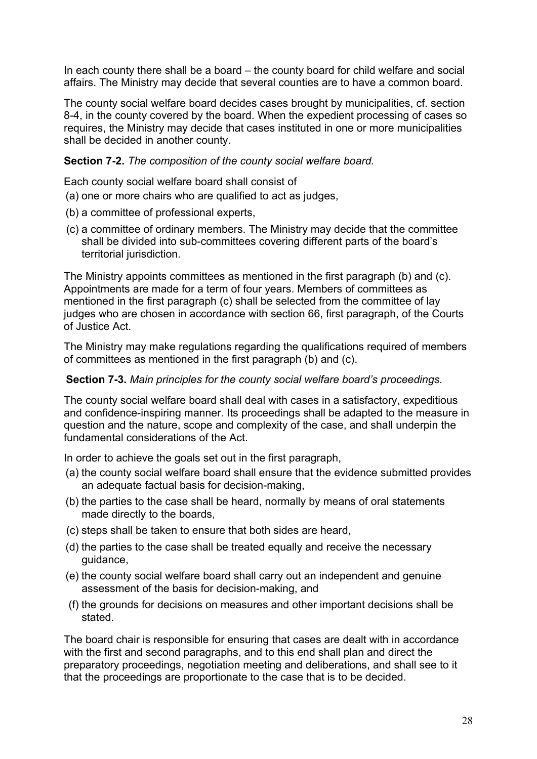In each county there shall be a board – the county board for child welfare and social affairs. The Ministry may decide that several counties are to have a common board.

The county social welfare board decides cases brought by municipalities, cf. section 8-4, in the county covered by the board. When the expedient processing of cases so requires, the Ministry may decide that cases instituted in one or more municipalities shall be decided in another county.

**Section 7-2.** *The composition of the county social welfare board.* 

Each county social welfare board shall consist of

- (a) one or more chairs who are qualified to act as judges,
- (b) a committee of professional experts,
- (c) a committee of ordinary members. The Ministry may decide that the committee shall be divided into sub-committees covering different parts of the board's territorial jurisdiction.

The Ministry appoints committees as mentioned in the first paragraph (b) and (c). Appointments are made for a term of four years. Members of committees as mentioned in the first paragraph (c) shall be selected from the committee of lay judges who are chosen in accordance with section 66, first paragraph, of the Courts of Justice Act.

The Ministry may make regulations regarding the qualifications required of members of committees as mentioned in the first paragraph (b) and (c).

### **Section 7-3.** *Main principles for the county social welfare board's proceedings.*

The county social welfare board shall deal with cases in a satisfactory, expeditious and confidence-inspiring manner. Its proceedings shall be adapted to the measure in question and the nature, scope and complexity of the case, and shall underpin the fundamental considerations of the Act.

In order to achieve the goals set out in the first paragraph,

- (a) the county social welfare board shall ensure that the evidence submitted provides an adequate factual basis for decision-making,
- (b) the parties to the case shall be heard, normally by means of oral statements made directly to the boards,
- (c) steps shall be taken to ensure that both sides are heard,
- (d) the parties to the case shall be treated equally and receive the necessary guidance,
- (e) the county social welfare board shall carry out an independent and genuine assessment of the basis for decision-making, and
- (f) the grounds for decisions on measures and other important decisions shall be stated.

The board chair is responsible for ensuring that cases are dealt with in accordance with the first and second paragraphs, and to this end shall plan and direct the preparatory proceedings, negotiation meeting and deliberations, and shall see to it that the proceedings are proportionate to the case that is to be decided.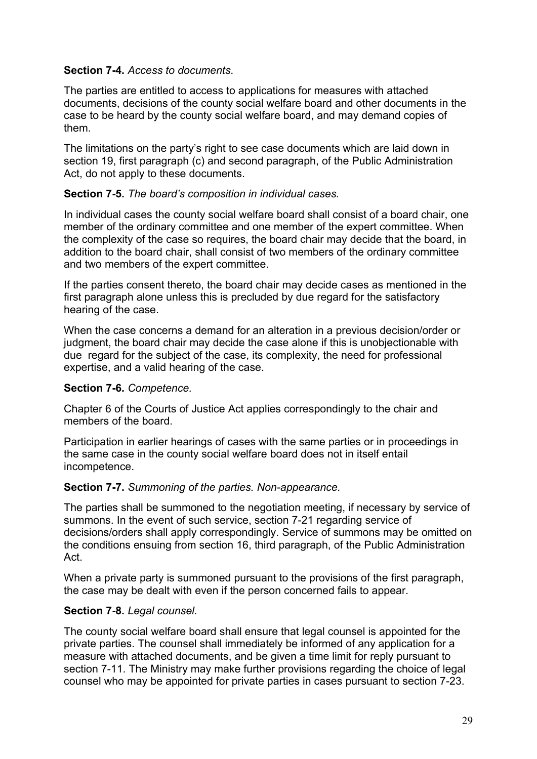### **Section 7-4.** *Access to documents*.

The parties are entitled to access to applications for measures with attached documents, decisions of the county social welfare board and other documents in the case to be heard by the county social welfare board, and may demand copies of them.

The limitations on the party's right to see case documents which are laid down in section 19, first paragraph (c) and second paragraph, of the Public Administration Act, do not apply to these documents.

### **Section 7-5.** *The board's composition in individual cases.*

In individual cases the county social welfare board shall consist of a board chair, one member of the ordinary committee and one member of the expert committee. When the complexity of the case so requires, the board chair may decide that the board, in addition to the board chair, shall consist of two members of the ordinary committee and two members of the expert committee.

If the parties consent thereto, the board chair may decide cases as mentioned in the first paragraph alone unless this is precluded by due regard for the satisfactory hearing of the case.

When the case concerns a demand for an alteration in a previous decision/order or judgment, the board chair may decide the case alone if this is unobjectionable with due regard for the subject of the case, its complexity, the need for professional expertise, and a valid hearing of the case.

## **Section 7-6.** *Competence.*

Chapter 6 of the Courts of Justice Act applies correspondingly to the chair and members of the board.

Participation in earlier hearings of cases with the same parties or in proceedings in the same case in the county social welfare board does not in itself entail incompetence.

### **Section 7-7.** *Summoning of the parties. Non-appearance.*

The parties shall be summoned to the negotiation meeting, if necessary by service of summons. In the event of such service, section 7-21 regarding service of decisions/orders shall apply correspondingly. Service of summons may be omitted on the conditions ensuing from section 16, third paragraph, of the Public Administration Act.

When a private party is summoned pursuant to the provisions of the first paragraph, the case may be dealt with even if the person concerned fails to appear.

## **Section 7-8.** *Legal counsel.*

The county social welfare board shall ensure that legal counsel is appointed for the private parties. The counsel shall immediately be informed of any application for a measure with attached documents, and be given a time limit for reply pursuant to section 7-11. The Ministry may make further provisions regarding the choice of legal counsel who may be appointed for private parties in cases pursuant to section 7-23.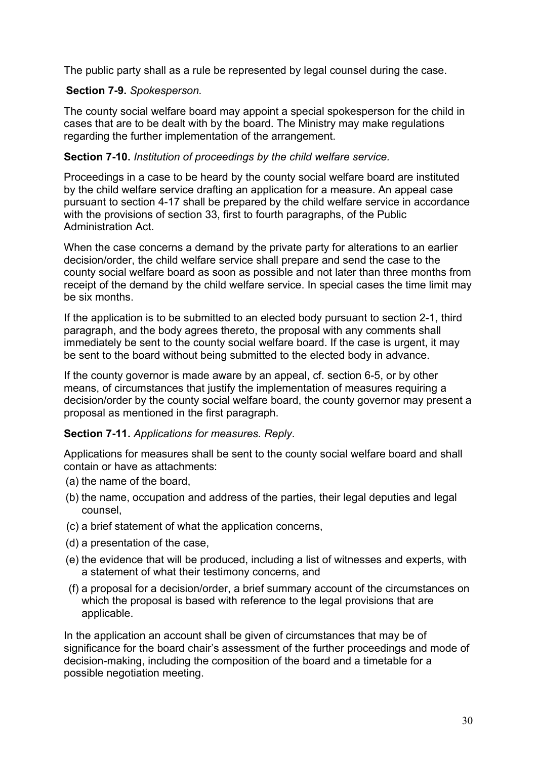The public party shall as a rule be represented by legal counsel during the case.

### **Section 7-9.** *Spokesperson.*

The county social welfare board may appoint a special spokesperson for the child in cases that are to be dealt with by the board. The Ministry may make regulations regarding the further implementation of the arrangement.

### **Section 7-10.** *Institution of proceedings by the child welfare service.*

Proceedings in a case to be heard by the county social welfare board are instituted by the child welfare service drafting an application for a measure. An appeal case pursuant to section 4-17 shall be prepared by the child welfare service in accordance with the provisions of section 33, first to fourth paragraphs, of the Public Administration Act.

When the case concerns a demand by the private party for alterations to an earlier decision/order, the child welfare service shall prepare and send the case to the county social welfare board as soon as possible and not later than three months from receipt of the demand by the child welfare service. In special cases the time limit may be six months.

If the application is to be submitted to an elected body pursuant to section 2-1, third paragraph, and the body agrees thereto, the proposal with any comments shall immediately be sent to the county social welfare board. If the case is urgent, it may be sent to the board without being submitted to the elected body in advance.

If the county governor is made aware by an appeal, cf. section 6-5, or by other means, of circumstances that justify the implementation of measures requiring a decision/order by the county social welfare board, the county governor may present a proposal as mentioned in the first paragraph.

## **Section 7-11.** *Applications for measures. Reply*.

Applications for measures shall be sent to the county social welfare board and shall contain or have as attachments:

- (a) the name of the board,
- (b) the name, occupation and address of the parties, their legal deputies and legal counsel,
- (c) a brief statement of what the application concerns,
- (d) a presentation of the case,
- (e) the evidence that will be produced, including a list of witnesses and experts, with a statement of what their testimony concerns, and
- (f) a proposal for a decision/order, a brief summary account of the circumstances on which the proposal is based with reference to the legal provisions that are applicable.

In the application an account shall be given of circumstances that may be of significance for the board chair's assessment of the further proceedings and mode of decision-making, including the composition of the board and a timetable for a possible negotiation meeting.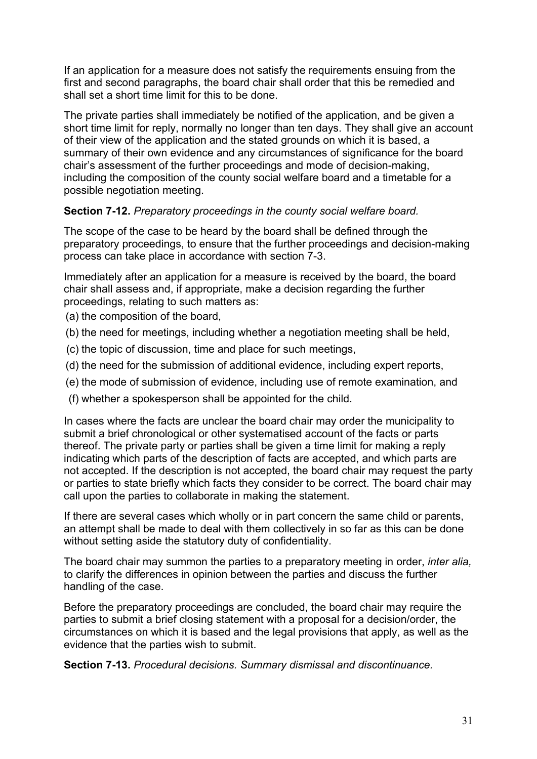If an application for a measure does not satisfy the requirements ensuing from the first and second paragraphs, the board chair shall order that this be remedied and shall set a short time limit for this to be done.

The private parties shall immediately be notified of the application, and be given a short time limit for reply, normally no longer than ten days. They shall give an account of their view of the application and the stated grounds on which it is based, a summary of their own evidence and any circumstances of significance for the board chair's assessment of the further proceedings and mode of decision-making, including the composition of the county social welfare board and a timetable for a possible negotiation meeting.

## **Section 7-12.** *Preparatory proceedings in the county social welfare board.*

The scope of the case to be heard by the board shall be defined through the preparatory proceedings, to ensure that the further proceedings and decision-making process can take place in accordance with section 7-3.

Immediately after an application for a measure is received by the board, the board chair shall assess and, if appropriate, make a decision regarding the further proceedings, relating to such matters as:

(a) the composition of the board,

- (b) the need for meetings, including whether a negotiation meeting shall be held,
- (c) the topic of discussion, time and place for such meetings,
- (d) the need for the submission of additional evidence, including expert reports,
- (e) the mode of submission of evidence, including use of remote examination, and
- (f) whether a spokesperson shall be appointed for the child.

In cases where the facts are unclear the board chair may order the municipality to submit a brief chronological or other systematised account of the facts or parts thereof. The private party or parties shall be given a time limit for making a reply indicating which parts of the description of facts are accepted, and which parts are not accepted. If the description is not accepted, the board chair may request the party or parties to state briefly which facts they consider to be correct. The board chair may call upon the parties to collaborate in making the statement.

If there are several cases which wholly or in part concern the same child or parents, an attempt shall be made to deal with them collectively in so far as this can be done without setting aside the statutory duty of confidentiality.

The board chair may summon the parties to a preparatory meeting in order, *inter alia,*  to clarify the differences in opinion between the parties and discuss the further handling of the case.

Before the preparatory proceedings are concluded, the board chair may require the parties to submit a brief closing statement with a proposal for a decision/order, the circumstances on which it is based and the legal provisions that apply, as well as the evidence that the parties wish to submit.

**Section 7-13.** *Procedural decisions. Summary dismissal and discontinuance.*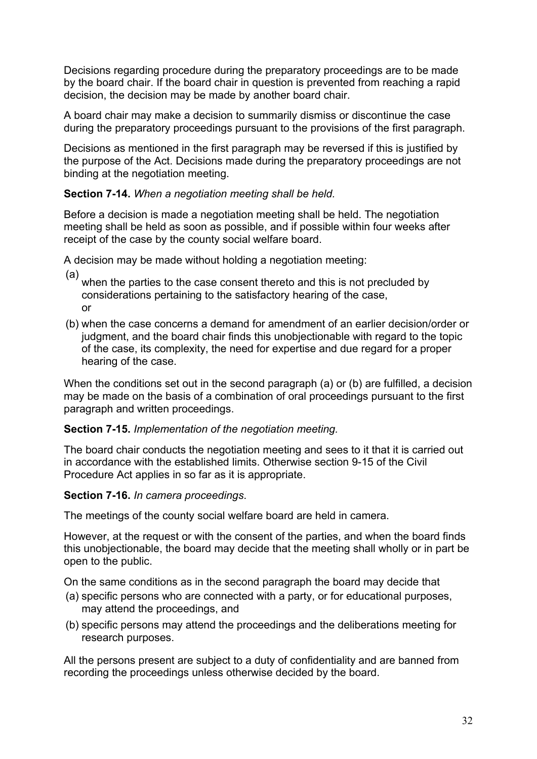Decisions regarding procedure during the preparatory proceedings are to be made by the board chair. If the board chair in question is prevented from reaching a rapid decision, the decision may be made by another board chair.

A board chair may make a decision to summarily dismiss or discontinue the case during the preparatory proceedings pursuant to the provisions of the first paragraph.

Decisions as mentioned in the first paragraph may be reversed if this is justified by the purpose of the Act. Decisions made during the preparatory proceedings are not binding at the negotiation meeting.

### **Section 7-14.** *When a negotiation meeting shall be held.*

Before a decision is made a negotiation meeting shall be held. The negotiation meeting shall be held as soon as possible, and if possible within four weeks after receipt of the case by the county social welfare board.

A decision may be made without holding a negotiation meeting:

(a) when the parties to the case consent thereto and this is not precluded by considerations pertaining to the satisfactory hearing of the case, or

(b) when the case concerns a demand for amendment of an earlier decision/order or judgment, and the board chair finds this unobjectionable with regard to the topic of the case, its complexity, the need for expertise and due regard for a proper hearing of the case.

When the conditions set out in the second paragraph (a) or (b) are fulfilled, a decision may be made on the basis of a combination of oral proceedings pursuant to the first paragraph and written proceedings.

## **Section 7-15.** *Implementation of the negotiation meeting.*

The board chair conducts the negotiation meeting and sees to it that it is carried out in accordance with the established limits. Otherwise section 9-15 of the Civil Procedure Act applies in so far as it is appropriate.

## **Section 7-16.** *In camera proceedings*.

The meetings of the county social welfare board are held in camera.

However, at the request or with the consent of the parties, and when the board finds this unobjectionable, the board may decide that the meeting shall wholly or in part be open to the public.

On the same conditions as in the second paragraph the board may decide that

- (a) specific persons who are connected with a party, or for educational purposes, may attend the proceedings, and
- (b) specific persons may attend the proceedings and the deliberations meeting for research purposes.

All the persons present are subject to a duty of confidentiality and are banned from recording the proceedings unless otherwise decided by the board.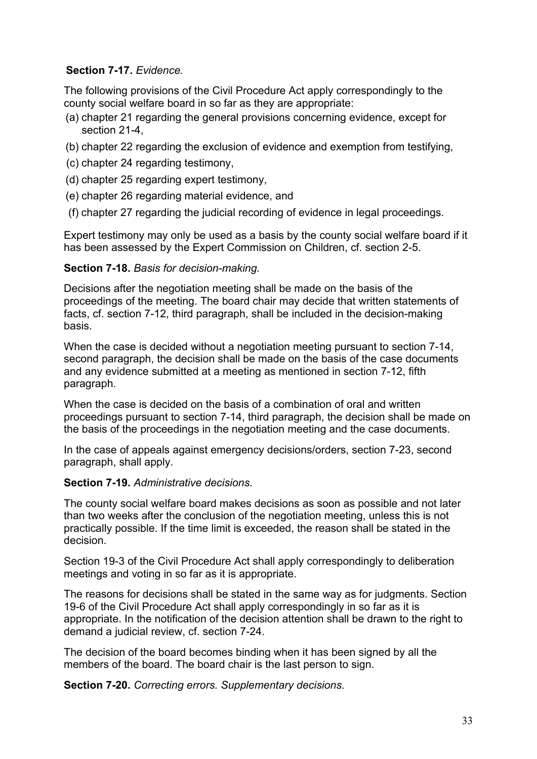# **Section 7-17.** *Evidence.*

The following provisions of the Civil Procedure Act apply correspondingly to the county social welfare board in so far as they are appropriate:

- (a) chapter 21 regarding the general provisions concerning evidence, except for section 21-4,
- (b) chapter 22 regarding the exclusion of evidence and exemption from testifying,
- (c) chapter 24 regarding testimony,
- (d) chapter 25 regarding expert testimony,
- (e) chapter 26 regarding material evidence, and
- (f) chapter 27 regarding the judicial recording of evidence in legal proceedings.

Expert testimony may only be used as a basis by the county social welfare board if it has been assessed by the Expert Commission on Children, cf. section 2-5.

### **Section 7-18.** *Basis for decision-making.*

Decisions after the negotiation meeting shall be made on the basis of the proceedings of the meeting. The board chair may decide that written statements of facts, cf. section 7-12, third paragraph, shall be included in the decision-making basis.

When the case is decided without a negotiation meeting pursuant to section 7-14, second paragraph, the decision shall be made on the basis of the case documents and any evidence submitted at a meeting as mentioned in section 7-12, fifth paragraph.

When the case is decided on the basis of a combination of oral and written proceedings pursuant to section 7-14, third paragraph, the decision shall be made on the basis of the proceedings in the negotiation meeting and the case documents.

In the case of appeals against emergency decisions/orders, section 7-23, second paragraph, shall apply.

### **Section 7-19.** *Administrative decisions.*

The county social welfare board makes decisions as soon as possible and not later than two weeks after the conclusion of the negotiation meeting, unless this is not practically possible. If the time limit is exceeded, the reason shall be stated in the decision.

Section 19-3 of the Civil Procedure Act shall apply correspondingly to deliberation meetings and voting in so far as it is appropriate.

The reasons for decisions shall be stated in the same way as for judgments. Section 19-6 of the Civil Procedure Act shall apply correspondingly in so far as it is appropriate. In the notification of the decision attention shall be drawn to the right to demand a judicial review, cf. section 7-24.

The decision of the board becomes binding when it has been signed by all the members of the board. The board chair is the last person to sign.

**Section 7-20.** *Correcting errors. Supplementary decisions.*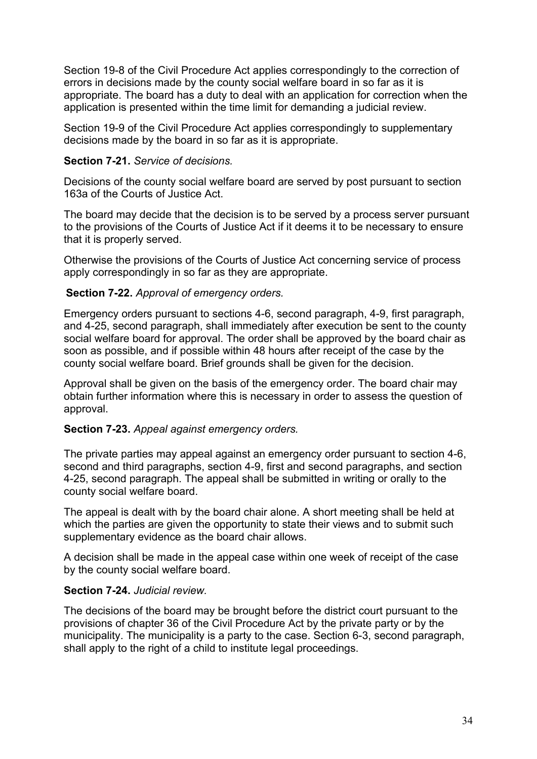Section 19-8 of the Civil Procedure Act applies correspondingly to the correction of errors in decisions made by the county social welfare board in so far as it is appropriate. The board has a duty to deal with an application for correction when the application is presented within the time limit for demanding a judicial review.

Section 19-9 of the Civil Procedure Act applies correspondingly to supplementary decisions made by the board in so far as it is appropriate.

### **Section 7-21.** *Service of decisions.*

Decisions of the county social welfare board are served by post pursuant to section 163a of the Courts of Justice Act.

The board may decide that the decision is to be served by a process server pursuant to the provisions of the Courts of Justice Act if it deems it to be necessary to ensure that it is properly served.

Otherwise the provisions of the Courts of Justice Act concerning service of process apply correspondingly in so far as they are appropriate.

### **Section 7-22.** *Approval of emergency orders.*

Emergency orders pursuant to sections 4-6, second paragraph, 4-9, first paragraph, and 4-25, second paragraph, shall immediately after execution be sent to the county social welfare board for approval. The order shall be approved by the board chair as soon as possible, and if possible within 48 hours after receipt of the case by the county social welfare board. Brief grounds shall be given for the decision.

Approval shall be given on the basis of the emergency order. The board chair may obtain further information where this is necessary in order to assess the question of approval.

### **Section 7-23.** *Appeal against emergency orders.*

The private parties may appeal against an emergency order pursuant to section 4-6, second and third paragraphs, section 4-9, first and second paragraphs, and section 4-25, second paragraph. The appeal shall be submitted in writing or orally to the county social welfare board.

The appeal is dealt with by the board chair alone. A short meeting shall be held at which the parties are given the opportunity to state their views and to submit such supplementary evidence as the board chair allows.

A decision shall be made in the appeal case within one week of receipt of the case by the county social welfare board.

### **Section 7-24.** *Judicial review.*

The decisions of the board may be brought before the district court pursuant to the provisions of chapter 36 of the Civil Procedure Act by the private party or by the municipality. The municipality is a party to the case. Section 6-3, second paragraph, shall apply to the right of a child to institute legal proceedings.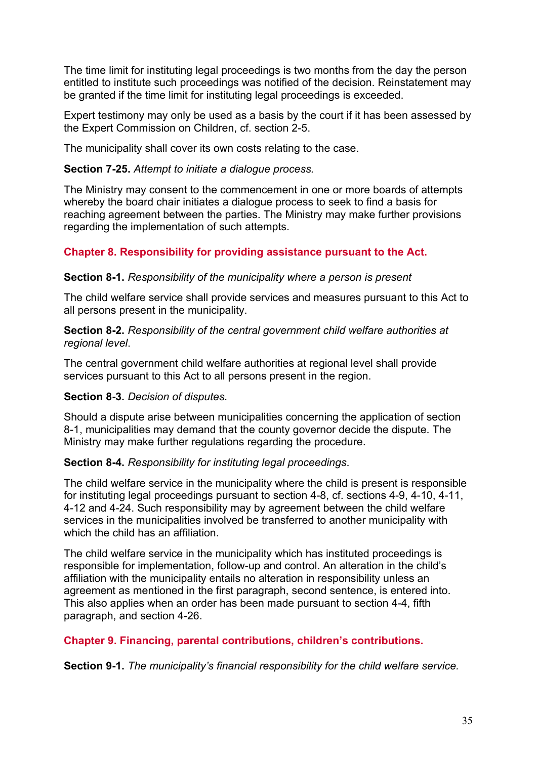The time limit for instituting legal proceedings is two months from the day the person entitled to institute such proceedings was notified of the decision. Reinstatement may be granted if the time limit for instituting legal proceedings is exceeded.

Expert testimony may only be used as a basis by the court if it has been assessed by the Expert Commission on Children, cf. section 2-5.

The municipality shall cover its own costs relating to the case.

#### **Section 7-25.** *Attempt to initiate a dialogue process.*

The Ministry may consent to the commencement in one or more boards of attempts whereby the board chair initiates a dialogue process to seek to find a basis for reaching agreement between the parties. The Ministry may make further provisions regarding the implementation of such attempts.

### **Chapter 8. Responsibility for providing assistance pursuant to the Act.**

#### **Section 8-1.** *Responsibility of the municipality where a person is present*

The child welfare service shall provide services and measures pursuant to this Act to all persons present in the municipality.

**Section 8-2.** *Responsibility of the central government child welfare authorities at regional level*.

The central government child welfare authorities at regional level shall provide services pursuant to this Act to all persons present in the region.

### **Section 8-3.** *Decision of disputes.*

Should a dispute arise between municipalities concerning the application of section 8-1, municipalities may demand that the county governor decide the dispute. The Ministry may make further regulations regarding the procedure.

### **Section 8-4.** *Responsibility for instituting legal proceedings*.

The child welfare service in the municipality where the child is present is responsible for instituting legal proceedings pursuant to section 4-8, cf. sections 4-9, 4-10, 4-11, 4-12 and 4-24. Such responsibility may by agreement between the child welfare services in the municipalities involved be transferred to another municipality with which the child has an affiliation.

The child welfare service in the municipality which has instituted proceedings is responsible for implementation, follow-up and control. An alteration in the child's affiliation with the municipality entails no alteration in responsibility unless an agreement as mentioned in the first paragraph, second sentence, is entered into. This also applies when an order has been made pursuant to section 4-4, fifth paragraph, and section 4-26.

### **Chapter 9. Financing, parental contributions, children's contributions.**

**Section 9-1.** *The municipality's financial responsibility for the child welfare service.*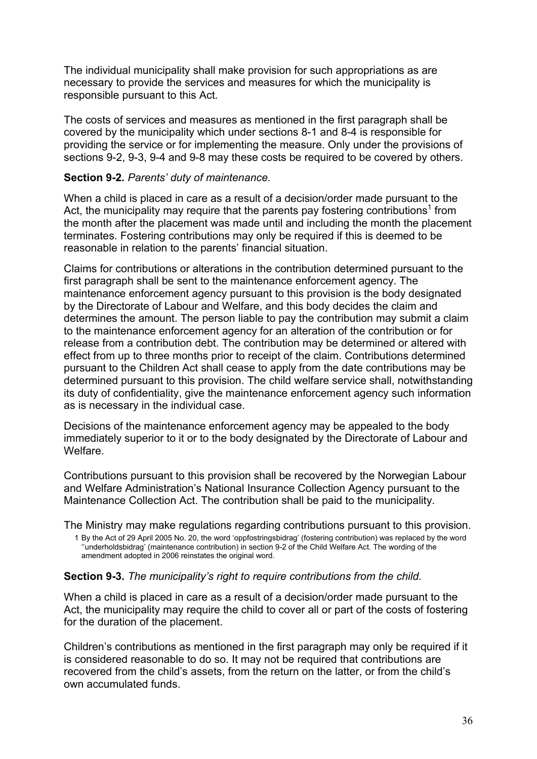The individual municipality shall make provision for such appropriations as are necessary to provide the services and measures for which the municipality is responsible pursuant to this Act.

The costs of services and measures as mentioned in the first paragraph shall be covered by the municipality which under sections 8-1 and 8-4 is responsible for providing the service or for implementing the measure. Only under the provisions of sections 9-2, 9-3, 9-4 and 9-8 may these costs be required to be covered by others.

### **Section 9-2.** *Parents' duty of maintenance.*

When a child is placed in care as a result of a decision/order made pursuant to the Act, the municipality may require that the parents pay fostering contributions<sup>1</sup> from the month after the placement was made until and including the month the placement terminates. Fostering contributions may only be required if this is deemed to be reasonable in relation to the parents' financial situation.

Claims for contributions or alterations in the contribution determined pursuant to the first paragraph shall be sent to the maintenance enforcement agency. The maintenance enforcement agency pursuant to this provision is the body designated by the Directorate of Labour and Welfare, and this body decides the claim and determines the amount. The person liable to pay the contribution may submit a claim to the maintenance enforcement agency for an alteration of the contribution or for release from a contribution debt. The contribution may be determined or altered with effect from up to three months prior to receipt of the claim. Contributions determined pursuant to the Children Act shall cease to apply from the date contributions may be determined pursuant to this provision. The child welfare service shall, notwithstanding its duty of confidentiality, give the maintenance enforcement agency such information as is necessary in the individual case.

Decisions of the maintenance enforcement agency may be appealed to the body immediately superior to it or to the body designated by the Directorate of Labour and Welfare.

Contributions pursuant to this provision shall be recovered by the Norwegian Labour and Welfare Administration's National Insurance Collection Agency pursuant to the Maintenance Collection Act. The contribution shall be paid to the municipality.

The Ministry may make regulations regarding contributions pursuant to this provision.

1 By the Act of 29 April 2005 No. 20, the word 'oppfostringsbidrag' (fostering contribution) was replaced by the word ''underholdsbidrag' (maintenance contribution) in section 9-2 of the Child Welfare Act. The wording of the amendment adopted in 2006 reinstates the original word.

### **Section 9-3.** *The municipality's right to require contributions from the child.*

When a child is placed in care as a result of a decision/order made pursuant to the Act, the municipality may require the child to cover all or part of the costs of fostering for the duration of the placement.

Children's contributions as mentioned in the first paragraph may only be required if it is considered reasonable to do so. It may not be required that contributions are recovered from the child's assets, from the return on the latter, or from the child's own accumulated funds.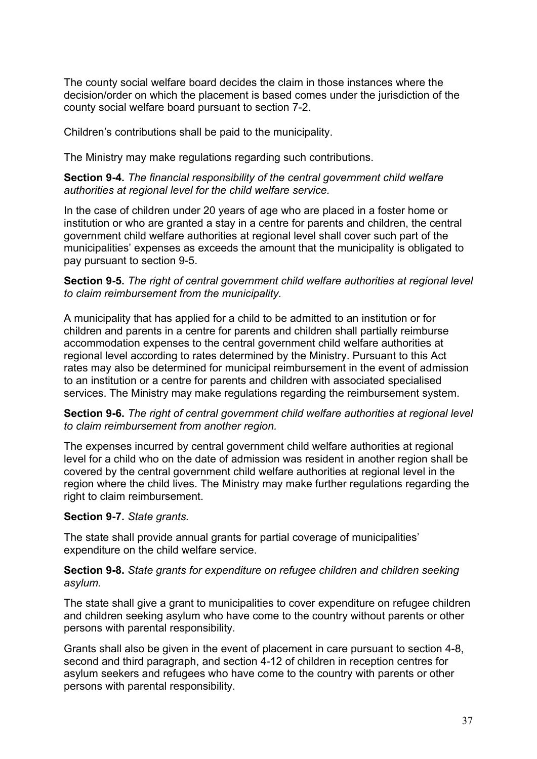The county social welfare board decides the claim in those instances where the decision/order on which the placement is based comes under the jurisdiction of the county social welfare board pursuant to section 7-2.

Children's contributions shall be paid to the municipality.

The Ministry may make regulations regarding such contributions.

### **Section 9-4.** *The financial responsibility of the central government child welfare authorities at regional level for the child welfare service.*

In the case of children under 20 years of age who are placed in a foster home or institution or who are granted a stay in a centre for parents and children, the central government child welfare authorities at regional level shall cover such part of the municipalities' expenses as exceeds the amount that the municipality is obligated to pay pursuant to section 9-5.

### **Section 9-5.** *The right of central government child welfare authorities at regional level to claim reimbursement from the municipality.*

A municipality that has applied for a child to be admitted to an institution or for children and parents in a centre for parents and children shall partially reimburse accommodation expenses to the central government child welfare authorities at regional level according to rates determined by the Ministry. Pursuant to this Act rates may also be determined for municipal reimbursement in the event of admission to an institution or a centre for parents and children with associated specialised services. The Ministry may make regulations regarding the reimbursement system.

**Section 9-6.** *The right of central government child welfare authorities at regional level to claim reimbursement from another region.*

The expenses incurred by central government child welfare authorities at regional level for a child who on the date of admission was resident in another region shall be covered by the central government child welfare authorities at regional level in the region where the child lives. The Ministry may make further regulations regarding the right to claim reimbursement.

### **Section 9-7.** *State grants.*

The state shall provide annual grants for partial coverage of municipalities' expenditure on the child welfare service.

### **Section 9-8.** *State grants for expenditure on refugee children and children seeking asylum.*

The state shall give a grant to municipalities to cover expenditure on refugee children and children seeking asylum who have come to the country without parents or other persons with parental responsibility.

Grants shall also be given in the event of placement in care pursuant to section 4-8, second and third paragraph, and section 4-12 of children in reception centres for asylum seekers and refugees who have come to the country with parents or other persons with parental responsibility.